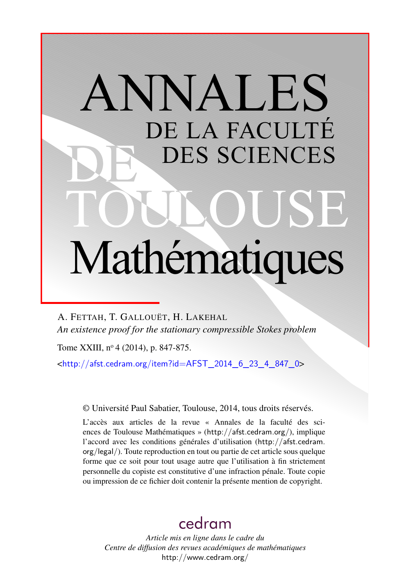# ANNALES DE LA FACULTÉ DES SCIENCES Mathématiques

A. FETTAH, T. GALLOUËT, H. LAKEHAL *An existence proof for the stationary compressible Stokes problem*

Tome XXIII, nº 4 (2014), p. 847-875.

 $\text{chttp:}/\text{/afst.cedram.org/item?id=AFST}$  2014 6 23 4 847 0>

© Université Paul Sabatier, Toulouse, 2014, tous droits réservés.

L'accès aux articles de la revue « Annales de la faculté des sciences de Toulouse Mathématiques » (<http://afst.cedram.org/>), implique l'accord avec les conditions générales d'utilisation ([http://afst.cedram.](http://afst.cedram.org/legal/) [org/legal/](http://afst.cedram.org/legal/)). Toute reproduction en tout ou partie de cet article sous quelque forme que ce soit pour tout usage autre que l'utilisation à fin strictement personnelle du copiste est constitutive d'une infraction pénale. Toute copie ou impression de ce fichier doit contenir la présente mention de copyright.

## [cedram](http://www.cedram.org/)

*Article mis en ligne dans le cadre du Centre de diffusion des revues académiques de mathématiques* <http://www.cedram.org/>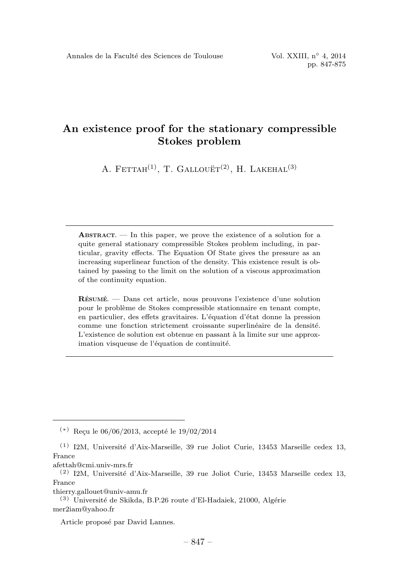### An existence proof for the stationary compressible Stokes problem

A. FETTAH<sup>(1)</sup>, T. GALLOUET<sup>(2)</sup>, H. LAKEHAL<sup>(3)</sup>

 $ABSTRACT.$  — In this paper, we prove the existence of a solution for a quite general stationary compressible Stokes problem including, in particular, gravity effects. The Equation Of State gives the pressure as an increasing superlinear function of the density. This existence result is obtained by passing to the limit on the solution of a viscous approximation of the continuity equation.

 $R$ ÉSUMÉ. — Dans cet article, nous prouvons l'existence d'une solution pour le probl`eme de Stokes compressible stationnaire en tenant compte, en particulier, des effets gravitaires. L'équation d'état donne la pression comme une fonction strictement croissante superlinéaire de la densité. L'existence de solution est obtenue en passant à la limite sur une approximation visqueuse de l'équation de continuité.

thierry.gallouet@univ-amu.fr

 $(*)$  Reçu le 06/06/2013, accepté le 19/02/2014

 $(1)$  I2M, Université d'Aix-Marseille, 39 rue Joliot Curie, 13453 Marseille cedex 13, France

afettah@cmi.univ-mrs.fr

 $(2)$  I2M, Université d'Aix-Marseille, 39 rue Joliot Curie, 13453 Marseille cedex 13, France

 $(3)$  Université de Skikda, B.P.26 route d'El-Hadaiek, 21000, Algérie mer2iam@yahoo.fr

Article proposé par David Lannes.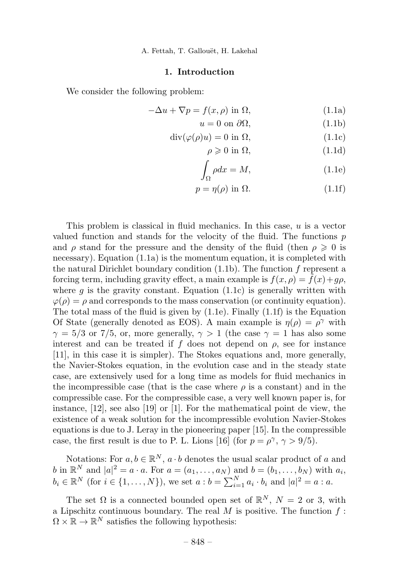A. Fettah, T. Gallouët, H. Lakehal

#### 1. Introduction

We consider the following problem:

$$
-\Delta u + \nabla p = f(x, \rho) \text{ in } \Omega,
$$
\n(1.1a)

$$
u = 0 \text{ on } \partial\Omega,\tag{1.1b}
$$

$$
\operatorname{div}(\varphi(\rho)u) = 0 \text{ in } \Omega,\tag{1.1c}
$$

$$
\rho \geqslant 0 \text{ in } \Omega,\tag{1.1d}
$$

$$
\int_{\Omega} \rho dx = M,\tag{1.1e}
$$

$$
p = \eta(\rho) \text{ in } \Omega. \tag{1.1f}
$$

This problem is classical in fluid mechanics. In this case,  $u$  is a vector valued function and stands for the velocity of the fluid. The functions  $p$ and  $\rho$  stand for the pressure and the density of the fluid (then  $\rho \geq 0$  is necessary).Equation (1.1a) is the momentum equation, it is completed with the natural Dirichlet boundary condition  $(1.1b)$ . The function f represent a forcing term, including gravity effect, a main example is  $f(x, \rho) = \tilde{f}(x) + g\rho$ , where  $g$  is the gravity constant. Equation (1.1c) is generally written with  $\varphi(\rho) = \rho$  and corresponds to the mass conservation (or continuity equation). The total mass of the fluid is given by (1.1e). Finally (1.1f) is the Equation Of State (generally denoted as EOS). A main example is  $\eta(\rho) = \rho^{\gamma}$  with  $\gamma = 5/3$  or 7/5, or, more generally,  $\gamma > 1$  (the case  $\gamma = 1$  has also some interest and can be treated if f does not depend on  $\rho$ , see for instance [11], in this case it is simpler).The Stokes equations and, more generally, the Navier-Stokes equation, in the evolution case and in the steady state case, are extensively used for a long time as models for fluid mechanics in the incompressible case (that is the case where  $\rho$  is a constant) and in the compressible case.For the compressible case, a very well known paper is, for instance,  $[12]$ , see also  $[19]$  or  $[1]$ . For the mathematical point de view, the existence of a weak solution for the incompressible evolution Navier-Stokes equations is due to J. Leray in the pioneering paper  $[15]$ . In the compressible case, the first result is due to P. L. Lions [16] (for  $p = \rho^{\gamma}, \gamma > 9/5$ ).

Notations: For  $a, b \in \mathbb{R}^N$ ,  $a \cdot b$  denotes the usual scalar product of a and b in  $\mathbb{R}^N$  and  $|a|^2 = a \cdot a$ . For  $a = (a_1, \ldots, a_N)$  and  $b = (b_1, \ldots, b_N)$  with  $a_i$ ,  $b_i \in \mathbb{R}^N \text{ (for } i \in \{1, ..., N\}\text{), we set } a : b = \sum_{i=1}^N a_i \cdot b_i \text{ and } |a|^2 = a : a.$ 

The set  $\Omega$  is a connected bounded open set of  $\mathbb{R}^N$ ,  $N = 2$  or 3, with a Lipschitz continuous boundary. The real  $M$  is positive. The function  $f$ :  $\Omega \times \mathbb{R} \to \mathbb{R}^N$  satisfies the following hypothesis: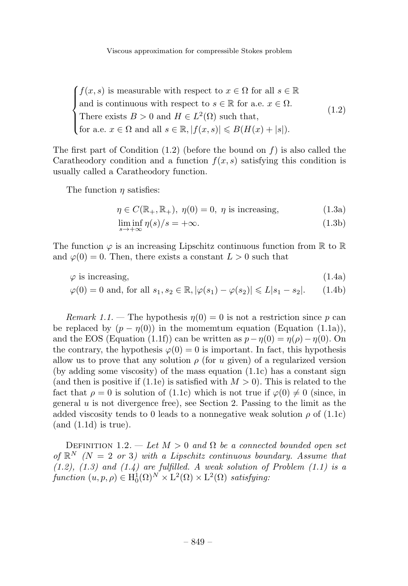Viscous approximation for compressible Stokes problem

 $\sqrt{ }$  $\bigg\}$  $\overline{a}$  $f(x, s)$  is measurable with respect to  $x \in \Omega$  for all  $s \in \mathbb{R}$ and is continuous with respect to  $s \in \mathbb{R}$  for a.e.  $x \in \Omega$ . There exists  $B > 0$  and  $H \in L^2(\Omega)$  such that, for a.e.  $x \in \Omega$  and all  $s \in \mathbb{R}, |f(x, s)| \leq B(H(x) + |s|).$ (1.2)

The first part of Condition  $(1.2)$  (before the bound on f) is also called the Caratheodory condition and a function  $f(x, s)$  satisfying this condition is usually called a Caratheodory function.

The function  $\eta$  satisfies:

$$
\eta \in C(\mathbb{R}_+, \mathbb{R}_+), \ \eta(0) = 0, \ \eta \text{ is increasing}, \tag{1.3a}
$$

$$
\liminf_{s \to +\infty} \eta(s)/s = +\infty. \tag{1.3b}
$$

The function  $\varphi$  is an increasing Lipschitz continuous function from  $\mathbb R$  to  $\mathbb R$ and  $\varphi(0) = 0$ . Then, there exists a constant  $L > 0$  such that

$$
\varphi \text{ is increasing,}
$$
\n
$$
\varphi(0) = 0 \text{ and, for all } s_1, s_2 \in \mathbb{R}, |\varphi(s_1) - \varphi(s_2)| \le L|s_1 - s_2|. \tag{1.4b}
$$

Remark 1.1. – The hypothesis  $\eta(0) = 0$  is not a restriction since p can be replaced by  $(p - \eta(0))$  in the momentum equation (Equation (1.1a)), and the EOS (Equation (1.1f)) can be written as  $p - \eta(0) = \eta(\rho) - \eta(0)$ . On the contrary, the hypothesis  $\varphi(0) = 0$  is important. In fact, this hypothesis allow us to prove that any solution  $\rho$  (for u given) of a regularized version (by adding some viscosity) of the mass equation  $(1.1c)$  has a constant sign (and then is positive if (1.1e) is satisfied with  $M > 0$ ). This is related to the fact that  $\rho = 0$  is solution of (1.1c) which is not true if  $\varphi(0) \neq 0$  (since, in general  $u$  is not divergence free), see Section 2. Passing to the limit as the added viscosity tends to 0 leads to a nonnegative weak solution  $\rho$  of  $(1.1c)$  $(and (1.1d)$  is true).

DEFINITION 1.2. — Let  $M > 0$  and  $\Omega$  be a connected bounded open set of  $\mathbb{R}^N$  (N = 2 or 3) with a Lipschitz continuous boundary. Assume that  $(1.2)$ ,  $(1.3)$  and  $(1.4)$  are fulfilled. A weak solution of Problem  $(1.1)$  is a function  $(u, p, \rho) \in \mathrm{H}_0^1(\Omega)^N \times \mathrm{L}^2(\Omega) \times \mathrm{L}^2(\Omega)$  satisfying: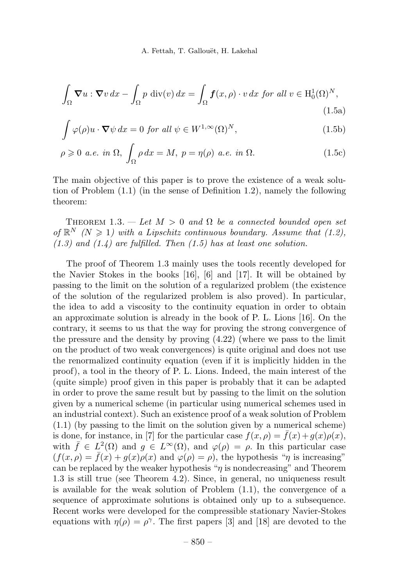$$
\int_{\Omega} \mathbf{\nabla} u : \mathbf{\nabla} v \, dx - \int_{\Omega} p \, \text{div}(v) \, dx = \int_{\Omega} \mathbf{f}(x, \rho) \cdot v \, dx \text{ for all } v \in H_0^1(\Omega)^N,
$$
\n(1.5a)

$$
\int \varphi(\rho)u \cdot \nabla \psi \, dx = 0 \text{ for all } \psi \in W^{1,\infty}(\Omega)^N,
$$
\n(1.5b)

$$
\rho \geqslant 0 \text{ a.e. in } \Omega, \int_{\Omega} \rho \, dx = M, \ p = \eta(\rho) \text{ a.e. in } \Omega. \tag{1.5c}
$$

The main objective of this paper is to prove the existence of a weak solution of Problem (1.1) (in the sense of Definition 1.2), namely the following theorem:

THEOREM 1.3. — Let  $M > 0$  and  $\Omega$  be a connected bounded open set of  $\mathbb{R}^N$  (N  $\geq$  1) with a Lipschitz continuous boundary. Assume that (1.2),  $(1.3)$  and  $(1.4)$  are fulfilled. Then  $(1.5)$  has at least one solution.

The proof of Theorem 1.3 mainly uses the tools recently developed for the Navier Stokes in the books  $[16]$ ,  $[6]$  and  $[17]$ . It will be obtained by passing to the limit on the solution of a regularized problem (the existence of the solution of the regularized problem is also proved).In particular, the idea to add a viscosity to the continuity equation in order to obtain an approximate solution is already in the book of P.L.Lions [16].On the contrary, it seems to us that the way for proving the strong convergence of the pressure and the density by proving (4.22) (where we pass to the limit on the product of two weak convergences) is quite original and does not use the renormalized continuity equation (even if it is implicitly hidden in the proof), a tool in the theory of P.L.Lions.Indeed, the main interest of the (quite simple) proof given in this paper is probably that it can be adapted in order to prove the same result but by passing to the limit on the solution given by a numerical scheme (in particular using numerical schemes used in an industrial context). Such an existence proof of a weak solution of Problem (1.1) (by passing to the limit on the solution given by a numerical scheme) is done, for instance, in [7] for the particular case  $f(x, \rho) = \overline{f}(x) + g(x)\rho(x)$ , with  $\bar{f} \in L^2(\Omega)$  and  $g \in L^{\infty}(\Omega)$ , and  $\varphi(\rho) = \rho$ . In this particular case  $(f(x, \rho) = \overline{f}(x) + g(x)\rho(x)$  and  $\varphi(\rho) = \rho$ , the hypothesis "*n* is increasing" can be replaced by the weaker hypothesis " $\eta$  is nondecreasing" and Theorem 1.3 is still true (see Theorem 4.2). Since, in general, no uniqueness result is available for the weak solution of Problem (1.1), the convergence of a sequence of approximate solutions is obtained only up to a subsequence. Recent works were developed for the compressible stationary Navier-Stokes equations with  $\eta(\rho) = \rho^{\gamma}$ . The first papers [3] and [18] are devoted to the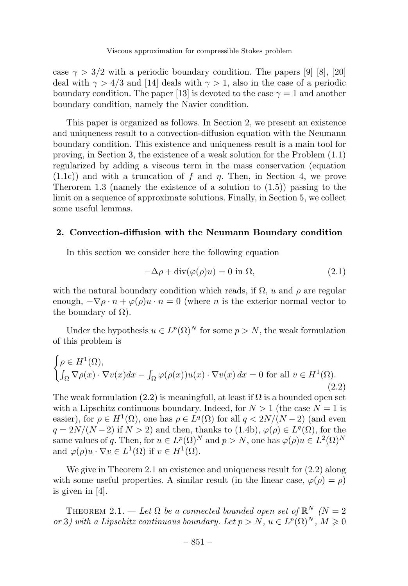case  $\gamma > 3/2$  with a periodic boundary condition. The papers [9] [8], [20] deal with  $\gamma > 4/3$  and [14] deals with  $\gamma > 1$ , also in the case of a periodic boundary condition. The paper [13] is devoted to the case  $\gamma = 1$  and another boundary condition, namely the Navier condition.

This paper is organized as follows.In Section 2, we present an existence and uniqueness result to a convection-diffusion equation with the Neumann boundary condition.This existence and uniqueness result is a main tool for proving, in Section 3, the existence of a weak solution for the Problem (1.1) regularized by adding a viscous term in the mass conservation (equation  $(1.1c)$  and with a truncation of f and  $\eta$ . Then, in Section 4, we prove Therorem 1.3 (namely the existence of a solution to  $(1.5)$ ) passing to the limit on a sequence of approximate solutions. Finally, in Section 5, we collect some useful lemmas.

#### 2. Convection-diffusion with the Neumann Boundary condition

In this section we consider here the following equation

$$
-\Delta \rho + \operatorname{div}(\varphi(\rho)u) = 0 \text{ in } \Omega,
$$
\n(2.1)

with the natural boundary condition which reads, if  $\Omega$ , u and  $\rho$  are regular enough,  $-\nabla \rho \cdot n + \varphi(\rho)u \cdot n = 0$  (where *n* is the exterior normal vector to the boundary of  $\Omega$ ).

Under the hypothesis  $u \in L^p(\Omega)^N$  for some  $p > N$ , the weak formulation of this problem is

$$
\begin{cases} \rho \in H^1(\Omega), \\ \int_{\Omega} \nabla \rho(x) \cdot \nabla v(x) dx - \int_{\Omega} \varphi(\rho(x)) u(x) \cdot \nabla v(x) dx = 0 \text{ for all } v \in H^1(\Omega). \end{cases}
$$
\n(2.2)

The weak formulation (2.2) is meaningfull, at least if  $\Omega$  is a bounded open set with a Lipschitz continuous boundary. Indeed, for  $N > 1$  (the case  $N = 1$  is easier), for  $\rho \in H^1(\Omega)$ , one has  $\rho \in L^q(\Omega)$  for all  $q < 2N/(N-2)$  (and even  $q = 2N/(N-2)$  if  $N > 2$ ) and then, thanks to  $(1.4b)$ ,  $\varphi(\rho) \in L^q(\Omega)$ , for the same values of q. Then, for  $u \in L^p(\Omega)^N$  and  $p > N$ , one has  $\varphi(\rho)u \in L^2(\Omega)^N$ and  $\varphi(\rho)u \cdot \nabla v \in L^1(\Omega)$  if  $v \in H^1(\Omega)$ .

We give in Theorem 2.1 an existence and uniqueness result for (2.2) along with some useful properties. A similar result (in the linear case,  $\varphi(\rho) = \rho$ ) is given in [4].

THEOREM 2.1. — Let  $\Omega$  be a connected bounded open set of  $\mathbb{R}^N$  (N = 2 or 3) with a Lipschitz continuous boundary. Let  $p>N$ ,  $u \in L^p(\Omega)^N$ ,  $M \geq 0$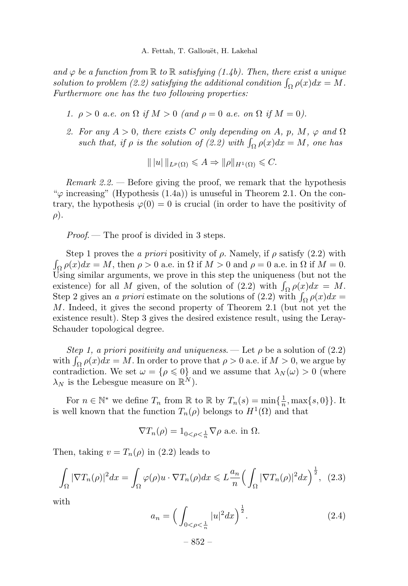and  $\varphi$  be a function from  $\mathbb R$  to  $\mathbb R$  satisfying (1.4b). Then, there exist a unique solution to problem (2.2) satisfying the additional condition  $\int_{\Omega} \rho(x) dx = M$ . Furthermore one has the two following properties:

- 1.  $\rho > 0$  a.e. on  $\Omega$  if  $M > 0$  (and  $\rho = 0$  a.e. on  $\Omega$  if  $M = 0$ ).
- 2. For any  $A > 0$ , there exists C only depending on A, p, M,  $\varphi$  and  $\Omega$ such that, if  $\rho$  is the solution of  $(2.2)$  with  $\int_{\Omega} \rho(x) dx = M$ , one has

$$
\| |u| \|_{L^p(\Omega)} \leqslant A \Rightarrow \| \rho \|_{H^1(\Omega)} \leqslant C.
$$

Remark  $2.2$ . — Before giving the proof, we remark that the hypothesis " $\varphi$  increasing" (Hypothesis (1.4a)) is unuseful in Theorem 2.1. On the contrary, the hypothesis  $\varphi(0) = 0$  is crucial (in order to have the positivity of  $\rho$ ).

Proof.— The proof is divided in 3 steps.

Step 1 proves the a priori positivity of  $\rho$ . Namely, if  $\rho$  satisfy (2.2) with  $\int_{\Omega} \rho(x) dx = M$ , then  $\rho > 0$  a.e. in  $\Omega$  if  $M > 0$  and  $\rho = 0$  a.e. in  $\Omega$  if  $M = 0$ . Using similar arguments, we prove in this step the uniqueness (but not the existence) for all M given, of the solution of (2.2) with  $\int_{\Omega} \rho(x) dx = M$ . Step 2 gives an a priori estimate on the solutions of (2.2) with  $\int_{\Omega} \rho(x) dx =$ M.Indeed, it gives the second property of Theorem 2.1 (but not yet the existence result). Step 3 gives the desired existence result, using the Leray-Schauder topological degree.

Step 1, a priori positivity and uniqueness. — Let  $\rho$  be a solution of  $(2.2)$ with  $\int_{\Omega} \rho(x)dx = M$ . In order to prove that  $\rho > 0$  a.e. if  $M > 0$ , we argue by contradiction. We set  $\omega = {\rho \leq 0}$  and we assume that  $\lambda_N(\omega) > 0$  (where  $\lambda_N$  is the Lebesgue measure on  $\mathbb{R}^N$ ).

For  $n \in \mathbb{N}^*$  we define  $T_n$  from  $\mathbb{R}$  to  $\mathbb{R}$  by  $T_n(s) = \min\{\frac{1}{n}, \max\{s, 0\}\}\.$  It is well known that the function  $T_n(\rho)$  belongs to  $H^1(\Omega)$  and that

$$
\nabla T_n(\rho) = 1_{0 < \rho < \frac{1}{n}} \nabla \rho \text{ a.e. in } \Omega.
$$

Then, taking  $v = T_n(\rho)$  in (2.2) leads to

$$
\int_{\Omega} |\nabla T_n(\rho)|^2 dx = \int_{\Omega} \varphi(\rho) u \cdot \nabla T_n(\rho) dx \leqslant L \frac{a_n}{n} \Big( \int_{\Omega} |\nabla T_n(\rho)|^2 dx \Big)^{\frac{1}{2}}, \tag{2.3}
$$

with

$$
a_n = \left(\int_{0 < \rho < \frac{1}{n}} |u|^2 dx\right)^{\frac{1}{2}}.\tag{2.4}
$$

– 852 –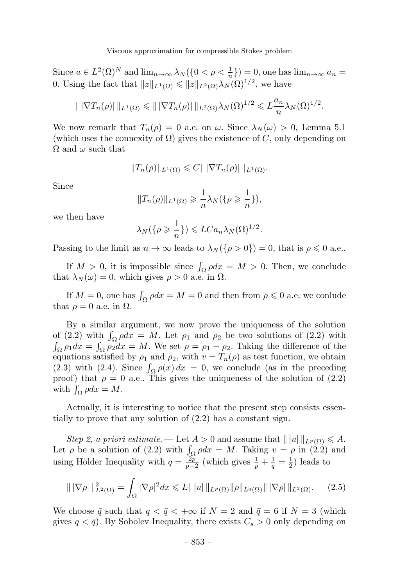Since  $u \in L^2(\Omega)^N$  and  $\lim_{n \to \infty} \lambda_N(\lbrace 0 \leq \rho \leq \frac{1}{n} \rbrace) = 0$ , one has  $\lim_{n \to \infty} a_n =$ 0. Using the fact that  $||z||_{L^1(\Omega)} \le ||z||_{L^2(\Omega)} \lambda_N(\Omega)^{1/2}$ , we have

$$
\|\left|\nabla T_n(\rho)\right|\|_{L^1(\Omega)} \leqslant \|\left|\nabla T_n(\rho)\right|\|_{L^2(\Omega)}\lambda_N(\Omega)^{1/2} \leqslant L\frac{a_n}{n}\lambda_N(\Omega)^{1/2}.
$$

We now remark that  $T_n(\rho) = 0$  a.e. on  $\omega$ . Since  $\lambda_N(\omega) > 0$ , Lemma 5.1 (which uses the connexity of  $\Omega$ ) gives the existence of C, only depending on  $\Omega$  and  $\omega$  such that

$$
||T_n(\rho)||_{L^1(\Omega)} \leqslant C|||\nabla T_n(\rho)||_{L^1(\Omega)}.
$$

Since

$$
||T_n(\rho)||_{L^1(\Omega)} \geqslant \frac{1}{n} \lambda_N(\{\rho \geqslant \frac{1}{n}\}),
$$

we then have

$$
\lambda_N(\{\rho \geq \frac{1}{n}\}) \leq LC a_n \lambda_N(\Omega)^{1/2}.
$$

Passing to the limit as  $n \to \infty$  leads to  $\lambda_N(\{\rho > 0\}) = 0$ , that is  $\rho \leq 0$  a.e..

If  $M > 0$ , it is impossible since  $\int_{\Omega} \rho dx = M > 0$ . Then, we conclude that  $\lambda_N(\omega) = 0$ , which gives  $\rho > 0$  a.e. in  $\Omega$ .

If  $M = 0$ , one has  $\int_{\Omega} \rho dx = M = 0$  and then from  $\rho \leq 0$  a.e. we conlude that  $\rho = 0$  a.e. in  $\Omega$ .

By a similar argument, we now prove the uniqueness of the solution of (2.2) with  $\int_{\Omega} \rho dx = M$ . Let  $\rho_1$  and  $\rho_2$  be two solutions of (2.2) with  $\int_{\Omega} \rho_1 dx = \int_{\Omega} \rho_2 dx = M$ . We set  $\rho = \rho_1 - \rho_2$ . Taking the difference of the equations satisfied by  $\rho_1$  and  $\rho_2$ , with  $v = T_n(\rho)$  as test function, we obtain (2.3) with (2.4). Since  $\int_{\Omega} \rho(x) dx = 0$ , we conclude (as in the preceding proof) that  $\rho = 0$  a.e.. This gives the uniqueness of the solution of (2.2) with  $\int_{\Omega} \rho dx = M$ .

Actually, it is interesting to notice that the present step consists essentially to prove that any solution of (2.2) has a constant sign.

Step 2, a priori estimate. — Let  $A > 0$  and assume that  $|| |u|| ||_{L^p(\Omega)} \leq A$ . Let  $\rho$  be a solution of (2.2) with  $\int_{\Omega} \rho dx = M$ . Taking  $v = \rho$  in (2.2) and using Hölder Inequality with  $q = \frac{2p}{p-2}$  (which gives  $\frac{1}{p} + \frac{1}{q} = \frac{1}{2}$ ) leads to

$$
\| |\nabla \rho| \|_{L^2(\Omega)}^2 = \int_{\Omega} |\nabla \rho|^2 dx \leq L \| |u| \|_{L^p(\Omega)} \| \rho \|_{L^q(\Omega)} \| |\nabla \rho| \|_{L^2(\Omega)}.
$$
 (2.5)

We choose  $\bar{q}$  such that  $q < \bar{q} < +\infty$  if  $N = 2$  and  $\bar{q} = 6$  if  $N = 3$  (which gives  $q < \bar{q}$ ). By Sobolev Inequality, there exists  $C_s > 0$  only depending on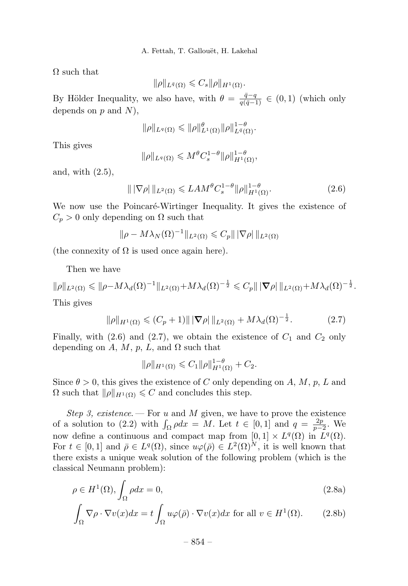$\Omega$  such that

$$
\|\rho\|_{L^{\bar{q}}(\Omega)} \leqslant C_s \|\rho\|_{H^1(\Omega)}.
$$

By Hölder Inequality, we also have, with  $\theta = \frac{\bar{q} - q}{q(\bar{q} - 1)} \in (0, 1)$  (which only depends on  $p$  and  $N$ ).

$$
\|\rho\|_{L^q(\Omega)} \leqslant \|\rho\|_{L^1(\Omega)}^{\theta} \|\rho\|_{L^{\bar{q}}(\Omega)}^{1-\theta}.
$$

This gives

$$
\|\rho\|_{L^q(\Omega)} \leqslant M^{\theta} C_s^{1-\theta} \|\rho\|_{H^1(\Omega)}^{1-\theta},
$$

and, with (2.5),

$$
\| |\nabla \rho| \|_{L^2(\Omega)} \leqslant LAM^{\theta} C_s^{1-\theta} \|\rho\|_{H^1(\Omega)}^{1-\theta}.
$$
 (2.6)

We now use the Poincaré-Wirtinger Inequality. It gives the existence of  $C_p > 0$  only depending on  $\Omega$  such that

$$
\|\rho - M\lambda_N(\Omega)^{-1}\|_{L^2(\Omega)} \leq C_p \|\nabla \rho\|_{L^2(\Omega)}
$$

(the connexity of  $\Omega$  is used once again here).

Then we have

$$
\|\rho\|_{L^2(\Omega)} \leqslant \|\rho - M\lambda_d(\Omega)^{-1}\|_{L^2(\Omega)} + M\lambda_d(\Omega)^{-\frac{1}{2}} \leqslant C_p \|\|\nabla \rho\|_{L^2(\Omega)} + M\lambda_d(\Omega)^{-\frac{1}{2}}.
$$
  
This gives

This gives

$$
\|\rho\|_{H^1(\Omega)} \le (C_p + 1) \|\|\nabla \rho\|_{L^2(\Omega)} + M\lambda_d(\Omega)^{-\frac{1}{2}}.
$$
 (2.7)

Finally, with (2.6) and (2.7), we obtain the existence of  $C_1$  and  $C_2$  only depending on A, M, p, L, and  $\Omega$  such that

$$
\|\rho\|_{H^1(\Omega)} \leq C_1 \|\rho\|_{H^1(\Omega)}^{1-\theta} + C_2.
$$

Since  $\theta > 0$ , this gives the existence of C only depending on A, M, p, L and  $\Omega$  such that  $\|\rho\|_{H^1(\Omega)} \leqslant C$  and concludes this step.

Step 3, existence. – For u and M given, we have to prove the existence of a solution to (2.2) with  $\int_{\Omega} \rho dx = M$ . Let  $t \in [0,1]$  and  $q = \frac{2p}{p-2}$ . We now define a continuous and compact map from  $[0, 1] \times L^q(\Omega)$  in  $L^q(\Omega)$ . For  $t \in [0,1]$  and  $\bar{\rho} \in L^q(\Omega)$ , since  $u\varphi(\bar{\rho}) \in L^2(\Omega)^N$ , it is well known that there exists a unique weak solution of the following problem (which is the classical Neumann problem):

$$
\rho \in H^{1}(\Omega), \int_{\Omega} \rho dx = 0,
$$
\n(2.8a)

$$
\int_{\Omega} \nabla \rho \cdot \nabla v(x) dx = t \int_{\Omega} u \varphi(\bar{\rho}) \cdot \nabla v(x) dx \text{ for all } v \in H^{1}(\Omega). \tag{2.8b}
$$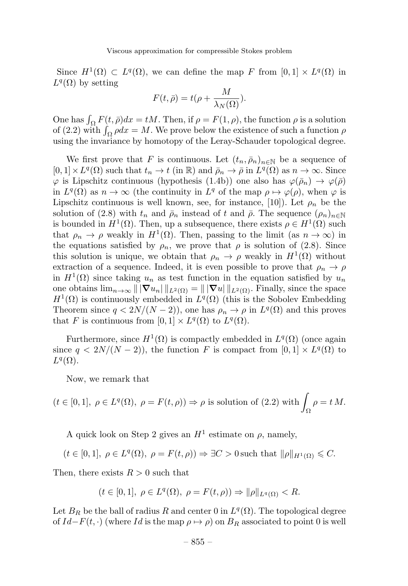Since  $H^1(\Omega) \subset L^q(\Omega)$ , we can define the map F from  $[0,1] \times L^q(\Omega)$  in  $L^q(\Omega)$  by setting

$$
F(t,\bar{\rho}) = t(\rho + \frac{M}{\lambda_N(\Omega)}).
$$

One has  $\int_{\Omega} F(t, \bar{\rho}) dx = tM$ . Then, if  $\rho = F(1, \rho)$ , the function  $\rho$  is a solution of (2.2) with  $\int_{\Omega} \rho dx = M$ . We prove below the existence of such a function  $\rho$ using the invariance by homotopy of the Leray-Schauder topological degree.

We first prove that F is continuous. Let  $(t_n, \bar{\rho}_n)_{n \in \mathbb{N}}$  be a sequence of  $[0,1] \times L^q(\Omega)$  such that  $t_n \to t$  (in R) and  $\bar{\rho}_n \to \bar{\rho}$  in  $L^q(\Omega)$  as  $n \to \infty$ . Since  $\varphi$  is Lipschitz continuous (hypothesis (1.4b)) one also has  $\varphi(\bar{\rho}_n) \to \varphi(\bar{\rho})$ in  $L^q(\Omega)$  as  $n \to \infty$  (the continuity in  $L^q$  of the map  $\rho \mapsto \varphi(\rho)$ , when  $\varphi$  is Lipschitz continuous is well known, see, for instance, [10]). Let  $\rho_n$  be the solution of (2.8) with  $t_n$  and  $\bar{\rho}_n$  instead of t and  $\bar{\rho}$ . The sequence  $(\rho_n)_{n\in\mathbb{N}}$ is bounded in  $H^1(\Omega)$ . Then, up a subsequence, there exists  $\rho \in H^1(\Omega)$  such that  $\rho_n \to \rho$  weakly in  $H^1(\Omega)$ . Then, passing to the limit (as  $n \to \infty$ ) in the equations satisfied by  $\rho_n$ , we prove that  $\rho$  is solution of (2.8). Since this solution is unique, we obtain that  $\rho_n \to \rho$  weakly in  $H^1(\Omega)$  without extraction of a sequence. Indeed, it is even possible to prove that  $\rho_n \to \rho$ in  $H^1(\Omega)$  since taking  $u_n$  as test function in the equation satisfied by  $u_n$ one obtains  $\lim_{n\to\infty} || \nabla u_n ||_{L^2(\Omega)} = || \nabla u ||_{L^2(\Omega)}$ . Finally, since the space  $H<sup>1</sup>(\Omega)$  is continuously embedded in  $L<sup>q</sup>(\Omega)$  (this is the Sobolev Embedding Theorem since  $q < 2N/(N-2)$ , one has  $\rho_n \to \rho$  in  $L^q(\Omega)$  and this proves that F is continuous from  $[0, 1] \times L^q(\Omega)$  to  $L^q(\Omega)$ .

Furthermore, since  $H^1(\Omega)$  is compactly embedded in  $L^q(\Omega)$  (once again since  $q < 2N/(N-2)$ , the function F is compact from  $[0,1] \times L^q(\Omega)$  to  $L^q(\Omega)$ .

Now, we remark that

$$
(t \in [0,1], \ \rho \in L^q(\Omega), \ \rho = F(t,\rho)) \Rightarrow \rho \text{ is solution of (2.2) with } \int_{\Omega} \rho = t M.
$$

A quick look on Step 2 gives an  $H^1$  estimate on  $\rho$ , namely,

$$
(t\in[0,1],\ \rho\in L^q(\Omega),\ \rho=F(t,\rho))\Rightarrow \exists C>0\, \text{such that}\ \|\rho\|_{H^1(\Omega)}\leqslant C.
$$

Then, there exists  $R > 0$  such that

$$
(t\in [0,1],\; \rho\in L^q(\Omega),\; \rho=F(t,\rho))\Rightarrow \|\rho\|_{L^q(\Omega)}
$$

Let  $B_R$  be the ball of radius R and center 0 in  $L^q(\Omega)$ . The topological degree of  $Id-F(t, \cdot)$  (where Id is the map  $\rho \mapsto \rho$ ) on  $B_R$  associated to point 0 is well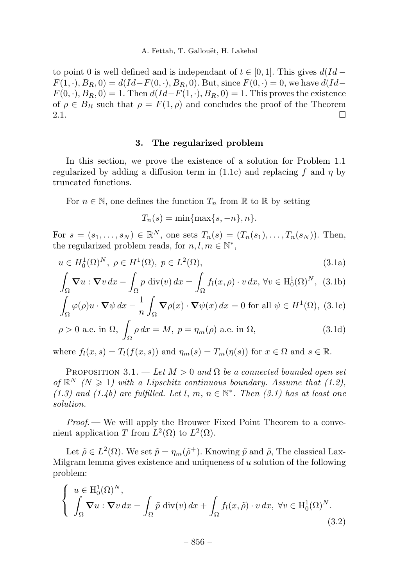to point 0 is well defined and is independant of  $t \in [0, 1]$ . This gives  $d(Id F(1, \cdot), B_R, 0) = d(Id - F(0, \cdot), B_R, 0)$ . But, since  $F(0, \cdot) = 0$ , we have  $d(Id F(0, \cdot), B_R, 0) = 1$ . Then  $d(Id - F(1, \cdot), B_R, 0) = 1$ . This proves the existence of  $\rho \in B_R$  such that  $\rho = F(1, \rho)$  and concludes the proof of the Theorem 2.1. 2.1.  $\Box$ 

#### 3. The regularized problem

In this section, we prove the existence of a solution for Problem 1.1 regularized by adding a diffusion term in  $(1.1c)$  and replacing f and  $\eta$  by truncated functions.

For  $n \in \mathbb{N}$ , one defines the function  $T_n$  from  $\mathbb R$  to  $\mathbb R$  by setting

$$
T_n(s) = \min\{\max\{s, -n\}, n\}.
$$

For  $s = (s_1, ..., s_N) \in \mathbb{R}^N$ , one sets  $T_n(s) = (T_n(s_1), ..., T_n(s_N))$ . Then, the regularized problem reads, for  $n, l, m \in \mathbb{N}^*$ ,

$$
u \in H_0^1(\Omega)^N, \ \rho \in H^1(\Omega), \ p \in L^2(\Omega),
$$
 (3.1a)

$$
\int_{\Omega} \nabla u : \nabla v \, dx - \int_{\Omega} p \, \text{div}(v) \, dx = \int_{\Omega} f_l(x, \rho) \cdot v \, dx, \, \forall v \in H_0^1(\Omega)^N, \tag{3.1b}
$$

$$
\int_{\Omega} \varphi(\rho)u \cdot \nabla \psi \, dx - \frac{1}{n} \int_{\Omega} \nabla \rho(x) \cdot \nabla \psi(x) \, dx = 0 \text{ for all } \psi \in H^1(\Omega), \text{ (3.1c)}
$$

$$
\rho > 0 \text{ a.e. in } \Omega, \int_{\Omega} \rho \, dx = M, \ p = \eta_m(\rho) \text{ a.e. in } \Omega,
$$
\n(3.1d)

where  $f_l(x, s) = T_l(f(x, s))$  and  $\eta_m(s) = T_m(\eta(s))$  for  $x \in \Omega$  and  $s \in \mathbb{R}$ .

PROPOSITION 3.1. — Let  $M > 0$  and  $\Omega$  be a connected bounded open set of  $\mathbb{R}^N$  (N  $\geq$  1) with a Lipschitz continuous boundary. Assume that (1.2), (1.3) and (1.4b) are fulfilled. Let l, m,  $n \in \mathbb{N}^*$ . Then (3.1) has at least one solution.

Proof.— We will apply the Brouwer Fixed Point Theorem to a convenient application T from  $L^2(\Omega)$  to  $L^2(\Omega)$ .

Let  $\tilde{\rho} \in L^2(\Omega)$ . We set  $\tilde{p} = \eta_m(\tilde{\rho}^+)$ . Knowing  $\tilde{p}$  and  $\tilde{\rho}$ , The classical Lax-Milgram lemma gives existence and uniqueness of  $u$  solution of the following problem:

 $\overline{\phantom{a}}$ 

$$
\begin{cases}\n u \in \mathrm{H}^{1}_{0}(\Omega)^{N}, \\
 \int_{\Omega} \nabla u : \nabla v \, dx = \int_{\Omega} \tilde{p} \, \mathrm{div}(v) \, dx + \int_{\Omega} f_{l}(x, \tilde{\rho}) \cdot v \, dx, \ \forall v \in \mathrm{H}^{1}_{0}(\Omega)^{N}.\n\end{cases}
$$
\n(3.2)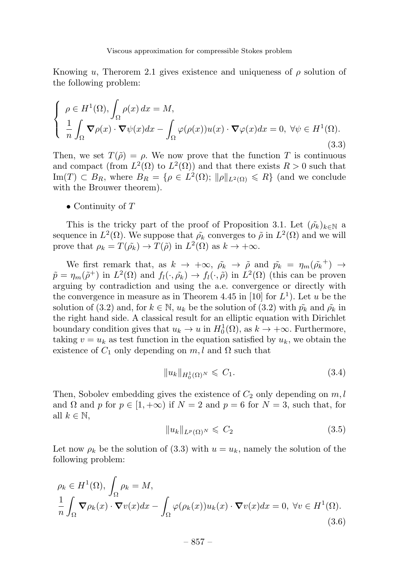Knowing u, Therorem 2.1 gives existence and uniqueness of  $\rho$  solution of the following problem:

$$
\begin{cases}\n\rho \in H^{1}(\Omega), \int_{\Omega} \rho(x) dx = M, \\
\frac{1}{n} \int_{\Omega} \nabla \rho(x) \cdot \nabla \psi(x) dx - \int_{\Omega} \varphi(\rho(x)) u(x) \cdot \nabla \varphi(x) dx = 0, \ \forall \psi \in H^{1}(\Omega). \n\end{cases}
$$
\n(3.3)

Then, we set  $T(\tilde{\rho}) = \rho$ . We now prove that the function T is continuous and compact (from  $L^2(\Omega)$  to  $L^2(\Omega)$ ) and that there exists  $R > 0$  such that Im(T)  $\subset B_R$ , where  $B_R = \{ \rho \in L^2(\Omega) ; ||\rho||_{L^2(\Omega)} \le R \}$  (and we conclude with the Brouwer theorem).

• Continuity of  $T$ 

This is the tricky part of the proof of Proposition 3.1. Let  $({\tilde{\rho}_k})_{k\in\mathbb{N}}$  a sequence in  $L^2(\Omega)$ . We suppose that  $\rho_k$  converges to  $\tilde{\rho}$  in  $L^2(\Omega)$  and we will prove that  $\rho_k = T(\tilde{\rho}_k) \to T(\tilde{\rho})$  in  $L^2(\Omega)$  as  $k \to +\infty$ .

We first remark that, as  $k \to +\infty$ ,  $\tilde{\rho_k} \to \tilde{\rho}$  and  $\tilde{p_k} = \eta_m(\tilde{\rho_k}^+) \to$  $\tilde{p} = \eta_m(\tilde{\rho}^+)$  in  $L^2(\Omega)$  and  $f_l(\cdot, \tilde{\rho_k}) \to f_l(\cdot, \tilde{\rho})$  in  $L^2(\Omega)$  (this can be proven arguing by contradiction and using the a.e. convergence or directly with the convergence in measure as in Theorem 4.45 in [10] for  $L^1$ ). Let u be the solution of (3.2) and, for  $k \in \mathbb{N}$ ,  $u_k$  be the solution of (3.2) with  $\tilde{p_k}$  and  $\tilde{\rho_k}$  in the right hand side. A classical result for an elliptic equation with Dirichlet boundary condition gives that  $u_k \to u$  in  $H_0^1(\Omega)$ , as  $k \to +\infty$ . Furthermore, taking  $v = u_k$  as test function in the equation satisfied by  $u_k$ , we obtain the existence of  $C_1$  only depending on  $m, l$  and  $\Omega$  such that

$$
||u_k||_{H_0^1(\Omega)^N} \leq C_1. \tag{3.4}
$$

Then, Sobolev embedding gives the existence of  $C_2$  only depending on  $m, l$ and  $\Omega$  and p for  $p \in [1, +\infty)$  if  $N = 2$  and  $p = 6$  for  $N = 3$ , such that, for all  $k \in \mathbb{N}$ ,

$$
||u_k||_{L^p(\Omega)^N} \leqslant C_2 \tag{3.5}
$$

Let now  $\rho_k$  be the solution of (3.3) with  $u = u_k$ , namely the solution of the following problem:

$$
\rho_k \in H^1(\Omega), \int_{\Omega} \rho_k = M,
$$
  

$$
\frac{1}{n} \int_{\Omega} \nabla \rho_k(x) \cdot \nabla v(x) dx - \int_{\Omega} \varphi(\rho_k(x)) u_k(x) \cdot \nabla v(x) dx = 0, \ \forall v \in H^1(\Omega).
$$
 (3.6)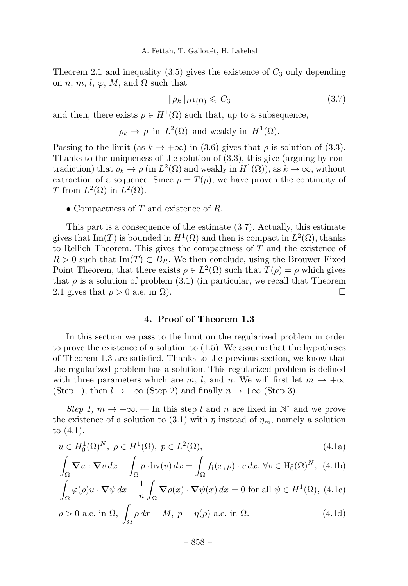Theorem 2.1 and inequality  $(3.5)$  gives the existence of  $C_3$  only depending on n, m, l,  $\varphi$ , M, and  $\Omega$  such that

$$
\|\rho_k\|_{H^1(\Omega)} \leqslant C_3 \tag{3.7}
$$

and then, there exists  $\rho \in H^1(\Omega)$  such that, up to a subsequence,

$$
\rho_k \to \rho
$$
 in  $L^2(\Omega)$  and weakly in  $H^1(\Omega)$ .

Passing to the limit (as  $k \to +\infty$ ) in (3.6) gives that  $\rho$  is solution of (3.3). Thanks to the uniqueness of the solution of (3.3), this give (arguing by contradiction) that  $\rho_k \to \rho$  (in  $L^2(\Omega)$  and weakly in  $H^1(\Omega)$ ), as  $k \to \infty$ , without extraction of a sequence. Since  $\rho = T(\tilde{\rho})$ , we have proven the continuity of T from  $L^2(\Omega)$  in  $L^2(\Omega)$ .

• Compactness of T and existence of R.

This part is a consequence of the estimate (3.7). Actually, this estimate gives that Im(T) is bounded in  $H^1(\Omega)$  and then is compact in  $L^2(\Omega)$ , thanks to Rellich Theorem. This gives the compactness of  $T$  and the existence of  $R > 0$  such that Im(T)  $\subset B_R$ . We then conclude, using the Brouwer Fixed Point Theorem, that there exists  $\rho \in L^2(\Omega)$  such that  $T(\rho) = \rho$  which gives that  $\rho$  is a solution of problem (3.1) (in particular, we recall that Theorem 2.1 gives that  $\rho > 0$  a.e. in  $\Omega$ ).

#### 4. Proof of Theorem 1.3

In this section we pass to the limit on the regularized problem in order to prove the existence of a solution to (1.5). We assume that the hypotheses of Theorem 1.3 are satisfied. Thanks to the previous section, we know that the regularized problem has a solution.This regularized problem is defined with three parameters which are m, l, and n. We will first let  $m \to +\infty$ (Step 1), then  $l \to +\infty$  (Step 2) and finally  $n \to +\infty$  (Step 3).

Step 1,  $m \to +\infty$ . — In this step l and n are fixed in  $\mathbb{N}^*$  and we prove the existence of a solution to (3.1) with  $\eta$  instead of  $\eta_m$ , namely a solution to (4.1).

$$
u \in H_0^1(\Omega)^N, \ \rho \in H^1(\Omega), \ p \in L^2(\Omega),
$$
 (4.1a)

$$
\int_{\Omega} \nabla u : \nabla v \, dx - \int_{\Omega} p \, \text{div}(v) \, dx = \int_{\Omega} f_l(x, \rho) \cdot v \, dx, \, \forall v \in H_0^1(\Omega)^N, \tag{4.1b}
$$

$$
\int_{\Omega} \varphi(\rho)u \cdot \nabla \psi \, dx - \frac{1}{n} \int_{\Omega} \nabla \rho(x) \cdot \nabla \psi(x) \, dx = 0 \text{ for all } \psi \in H^1(\Omega), \text{ (4.1c)}
$$

$$
\rho > 0 \text{ a.e. in } \Omega, \int_{\Omega} \rho \, dx = M, \ p = \eta(\rho) \text{ a.e. in } \Omega. \tag{4.1d}
$$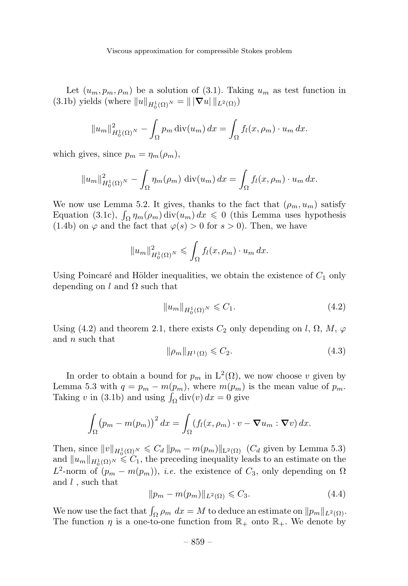Let  $(u_m, p_m, \rho_m)$  be a solution of (3.1). Taking  $u_m$  as test function in (3.1b) yields (where  $||u||_{H_0^1(\Omega)} = ||\nabla u||_{L^2(\Omega)}$ )

$$
||u_m||_{H_0^1(\Omega)}^2 - \int_{\Omega} p_m \operatorname{div}(u_m) dx = \int_{\Omega} f_l(x, \rho_m) \cdot u_m dx.
$$

which gives, since  $p_m = \eta_m(\rho_m)$ ,

$$
||u_m||_{H_0^1(\Omega)}^2 - \int_{\Omega} \eta_m(\rho_m) \operatorname{div}(u_m) dx = \int_{\Omega} f_l(x, \rho_m) \cdot u_m dx.
$$

We now use Lemma 5.2. It gives, thanks to the fact that  $(\rho_m, u_m)$  satisfy Equation (3.1c),  $\int_{\Omega} \eta_m(\rho_m) \operatorname{div}(u_m) dx \leq 0$  (this Lemma uses hypothesis (1.4b) on  $\varphi$  and the fact that  $\varphi(s) > 0$  for  $s > 0$ ). Then, we have

$$
||u_m||_{H_0^1(\Omega)^N}^2 \leq \int_{\Omega} f_l(x,\rho_m) \cdot u_m dx.
$$

Using Poincaré and Hölder inequalities, we obtain the existence of  $C_1$  only depending on l and  $\Omega$  such that

$$
||u_m||_{H_0^1(\Omega)} \le C_1. \tag{4.2}
$$

Using (4.2) and theorem 2.1, there exists  $C_2$  only depending on l,  $\Omega$ ,  $M$ ,  $\varphi$ and  $n$  such that

$$
\|\rho_m\|_{H^1(\Omega)} \leqslant C_2. \tag{4.3}
$$

In order to obtain a bound for  $p_m$  in  $L^2(\Omega)$ , we now choose v given by Lemma 5.3 with  $q = p_m - m(p_m)$ , where  $m(p_m)$  is the mean value of  $p_m$ . Taking v in (3.1b) and using  $\int_{\Omega}$  div(v)  $dx = 0$  give

$$
\int_{\Omega} (p_m - m(p_m))^2 dx = \int_{\Omega} (f_l(x, \rho_m) \cdot v - \nabla u_m : \nabla v) dx.
$$

Then, since  $||v||_{H_0^1(\Omega)^N} \leq C_d ||p_m - m(p_m)||_{L^2(\Omega)}$  ( $C_d$  given by Lemma 5.3) and  $||u_m||_{H_0^1(\Omega)^N} \leq C_1$ , the preceding inequality leads to an estimate on the  $L^2$ -norm of  $(p_m - m(p_m))$ , *i.e.* the existence of  $C_3$ , only depending on  $\Omega$ and  $l$ , such that

$$
||p_m - m(p_m)||_{L^2(\Omega)} \leq C_3. \tag{4.4}
$$

We now use the fact that  $\int_{\Omega} \rho_m dx = M$  to deduce an estimate on  $||p_m||_{L^2(\Omega)}$ . The function  $\eta$  is a one-to-one function from  $\mathbb{R}_+$  onto  $\mathbb{R}_+$ . We denote by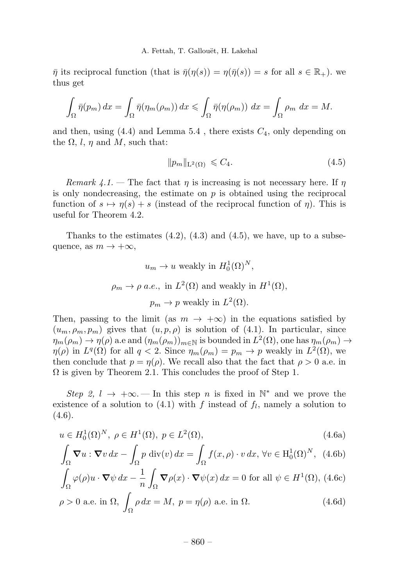$\bar{\eta}$  its reciprocal function (that is  $\bar{\eta}(\eta(s)) = \eta(\bar{\eta}(s)) = s$  for all  $s \in \mathbb{R}_{+}$ ). we thus get

$$
\int_{\Omega} \bar{\eta}(p_m) dx = \int_{\Omega} \bar{\eta}(\eta_m(\rho_m)) dx \leqslant \int_{\Omega} \bar{\eta}(\eta(\rho_m)) dx = \int_{\Omega} \rho_m dx = M.
$$

and then, using  $(4.4)$  and Lemma 5.4, there exists  $C_4$ , only depending on the  $\Omega$ , l, n and M, such that:

 $||p_m||_{\mathcal{L}^2(\Omega)} \leqslant C_4.$  (4.5)

Remark 4.1. – The fact that  $\eta$  is increasing is not necessary here. If  $\eta$ is only nondecreasing, the estimate on  $p$  is obtained using the reciprocal function of  $s \mapsto \eta(s) + s$  (instead of the reciprocal function of  $\eta$ ). This is useful for Theorem 4.2.

Thanks to the estimates  $(4.2)$ ,  $(4.3)$  and  $(4.5)$ , we have, up to a subsequence, as  $m \to +\infty$ ,

$$
u_m \to u
$$
 weakly in  $H_0^1(\Omega)^N$ ,  
\n $\rho_m \to \rho$  a.e., in  $L^2(\Omega)$  and weakly in  $H^1(\Omega)$ ,  
\n $p_m \to p$  weakly in  $L^2(\Omega)$ .

Then, passing to the limit (as  $m \to +\infty$ ) in the equations satisfied by  $(u_m, \rho_m, p_m)$  gives that  $(u, p, \rho)$  is solution of (4.1). In particular, since  $\eta_m(\rho_m) \to \eta(\rho)$  a.e and  $(\eta_m(\rho_m))_{m \in \mathbb{N}}$  is bounded in  $L^2(\Omega)$ , one has  $\eta_m(\rho_m) \to$  $\eta(\rho)$  in  $L^q(\Omega)$  for all  $q < 2$ . Since  $\eta_m(\rho_m) = p_m \to p$  weakly in  $L^2(\Omega)$ , we then conclude that  $p = \eta(\rho)$ . We recall also that the fact that  $\rho > 0$  a.e. in  $\Omega$  is given by Theorem 2.1. This concludes the proof of Step 1.

Step 2,  $l \rightarrow +\infty$ . In this step n is fixed in N<sup>\*</sup> and we prove the existence of a solution to  $(4.1)$  with f instead of  $f_l$ , namely a solution to  $(4.6).$ 

$$
u \in H_0^1(\Omega)^N, \ \rho \in H^1(\Omega), \ p \in L^2(\Omega),
$$
 (4.6a)

$$
\int_{\Omega} \mathbf{\nabla} u : \mathbf{\nabla} v \, dx - \int_{\Omega} p \, \text{div}(v) \, dx = \int_{\Omega} f(x, \rho) \cdot v \, dx, \, \forall v \in H_0^1(\Omega)^N, \tag{4.6b}
$$

$$
\int_{\Omega} \varphi(\rho)u \cdot \nabla \psi \, dx - \frac{1}{n} \int_{\Omega} \nabla \rho(x) \cdot \nabla \psi(x) \, dx = 0 \text{ for all } \psi \in H^1(\Omega), \text{ (4.6c)}
$$

$$
\rho > 0 \text{ a.e. in } \Omega, \int_{\Omega} \rho \, dx = M, \ p = \eta(\rho) \text{ a.e. in } \Omega. \tag{4.6d}
$$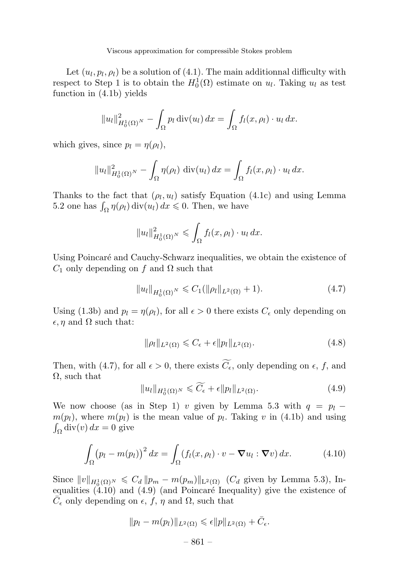Viscous approximation for compressible Stokes problem

Let  $(u_l, p_l, \rho_l)$  be a solution of (4.1). The main additionnal difficulty with respect to Step 1 is to obtain the  $H_0^1(\Omega)$  estimate on  $u_l$ . Taking  $u_l$  as test function in (4.1b) yields

$$
||u_l||_{H_0^1(\Omega)}^2 - \int_{\Omega} p_l \operatorname{div}(u_l) dx = \int_{\Omega} f_l(x, \rho_l) \cdot u_l dx.
$$

which gives, since  $p_l = \eta(\rho_l)$ ,

$$
||u_l||_{H_0^1(\Omega)}^2 - \int_{\Omega} \eta(\rho_l) \operatorname{div}(u_l) dx = \int_{\Omega} f_l(x, \rho_l) \cdot u_l dx.
$$

Thanks to the fact that  $(\rho_l, u_l)$  satisfy Equation (4.1c) and using Lemma 5.2 one has  $\int_{\Omega} \eta(\rho_l) \operatorname{div}(u_l) dx \leq 0$ . Then, we have

$$
||u_l||_{H_0^1(\Omega)}^2 \le \int_{\Omega} f_l(x,\rho_l) \cdot u_l dx.
$$

Using Poincaré and Cauchy-Schwarz inequalities, we obtain the existence of  $C_1$  only depending on f and  $\Omega$  such that

$$
||u_l||_{H_0^1(\Omega)} \le C_1(||\rho_l||_{L^2(\Omega)} + 1).
$$
\n(4.7)

Using (1.3b) and  $p_l = \eta(\rho_l)$ , for all  $\epsilon > 0$  there exists  $C_{\epsilon}$  only depending on  $\epsilon$ , *n* and  $\Omega$  such that:

$$
\|\rho_l\|_{L^2(\Omega)} \leq C_{\epsilon} + \epsilon \|p_l\|_{L^2(\Omega)}.
$$
\n(4.8)

Then, with (4.7), for all  $\epsilon > 0$ , there exists  $C_{\epsilon}$ , only depending on  $\epsilon$ , f, and  $\Omega$ , such that

$$
||u_l||_{H_0^1(\Omega)^N} \leqslant \widetilde{C}_{\epsilon} + \epsilon ||p_l||_{L^2(\Omega)}.
$$
\n(4.9)

We now choose (as in Step 1) v given by Lemma 5.3 with  $q = p_l$  $m(p_l)$ , where  $m(p_l)$  is the mean value of  $p_l$ . Taking v in (4.1b) and using  $\int_{\Omega}$ div $(v) dx = 0$  give

$$
\int_{\Omega} (p_l - m(p_l))^2 dx = \int_{\Omega} (f_l(x, \rho_l) \cdot v - \nabla u_l : \nabla v) dx.
$$
 (4.10)

Since  $||v||_{H_0^1(\Omega)} \leq C_d ||p_m - m(p_m)||_{L^2(\Omega)}$  ( $C_d$  given by Lemma 5.3), Inequalities  $(4.10)$  and  $(4.9)$  (and Poincaré Inequality) give the existence of  $\overline{C}_{\epsilon}$  only depending on  $\epsilon$ , f,  $\eta$  and  $\Omega$ , such that

$$
||p_l - m(p_l)||_{L^2(\Omega)} \leqslant \epsilon ||p||_{L^2(\Omega)} + \bar{C}_{\epsilon}.
$$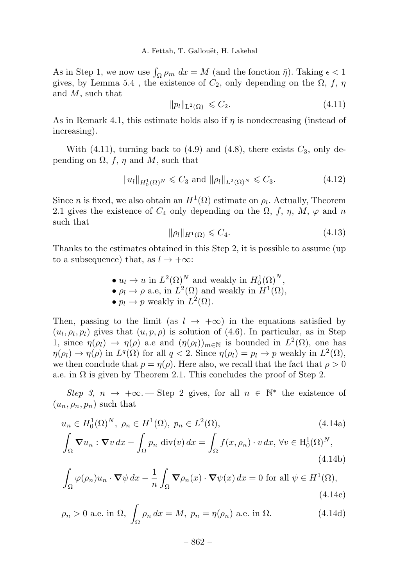As in Step 1, we now use  $\int_{\Omega} \rho_m dx = M$  (and the fonction  $\bar{\eta}$ ). Taking  $\epsilon < 1$ gives, by Lemma 5.4, the existence of  $C_2$ , only depending on the  $\Omega$ , f,  $\eta$ and M, such that

$$
||p_l||_{\mathcal{L}^2(\Omega)} \leqslant C_2. \tag{4.11}
$$

As in Remark 4.1, this estimate holds also if  $\eta$  is nondecreasing (instead of increasing).

With (4.11), turning back to (4.9) and (4.8), there exists  $C_3$ , only depending on  $\Omega$ , f,  $\eta$  and M, such that

$$
||u_l||_{H_0^1(\Omega)^N} \leq C_3 \text{ and } ||\rho_l||_{L^2(\Omega)^N} \leq C_3. \tag{4.12}
$$

Since *n* is fixed, we also obtain an  $H^1(\Omega)$  estimate on  $\rho_l$ . Actually, Theorem 2.1 gives the existence of  $C_4$  only depending on the  $\Omega$ , f,  $\eta$ ,  $M$ ,  $\varphi$  and n such that

$$
\|\rho_l\|_{H^1(\Omega)} \leqslant C_4. \tag{4.13}
$$

(4.14b)

Thanks to the estimates obtained in this Step 2, it is possible to assume (up to a subsequence) that, as  $l \to +\infty$ :

> •  $u_l \to u$  in  $L^2(\Omega)^N$  and weakly in  $H_0^1(\Omega)^N$ , •  $\rho_l \to \rho$  a.e, in  $L^2(\Omega)$  and weakly in  $H^1(\Omega)$ , •  $p_l \to p$  weakly in  $L^2(\Omega)$ .

Then, passing to the limit (as  $l \rightarrow +\infty$ ) in the equations satisfied by  $(u_l, \rho_l, p_l)$  gives that  $(u, p, \rho)$  is solution of (4.6). In particular, as in Step 1, since  $\eta(\rho_l) \to \eta(\rho)$  a.e and  $(\eta(\rho_l))_{m \in \mathbb{N}}$  is bounded in  $L^2(\Omega)$ , one has  $\eta(\rho_l) \to \eta(\rho)$  in  $L^q(\Omega)$  for all  $q < 2$ . Since  $\eta(\rho_l) = p_l \to p$  weakly in  $L^2(\Omega)$ , we then conclude that  $p = \eta(\rho)$ . Here also, we recall that the fact that  $\rho > 0$ a.e. in  $\Omega$  is given by Theorem 2.1. This concludes the proof of Step 2.

Step 3,  $n \to +\infty$ . Step 2 gives, for all  $n \in \mathbb{N}^*$  the existence of  $(u_n, \rho_n, p_n)$  such that

$$
u_n \in H_0^1(\Omega)^N, \ \rho_n \in H^1(\Omega), \ p_n \in L^2(\Omega), \tag{4.14a}
$$

$$
\int_{\Omega} \nabla u_n : \nabla v \, dx - \int_{\Omega} p_n \, \text{div}(v) \, dx = \int_{\Omega} f(x, \rho_n) \cdot v \, dx, \ \forall v \in H_0^1(\Omega)^N,
$$

$$
\int_{\Omega} \varphi(\rho_n) u_n \cdot \nabla \psi \, dx - \frac{1}{n} \int_{\Omega} \nabla \rho_n(x) \cdot \nabla \psi(x) \, dx = 0 \text{ for all } \psi \in H^1(\Omega),\tag{4.14c}
$$

$$
\rho_n > 0
$$
 a.e. in  $\Omega$ ,  $\int_{\Omega} \rho_n dx = M$ ,  $p_n = \eta(\rho_n)$  a.e. in  $\Omega$ . (4.14d)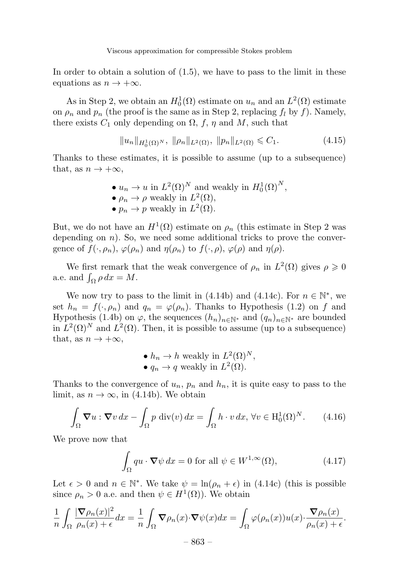Viscous approximation for compressible Stokes problem

In order to obtain a solution of (1.5), we have to pass to the limit in these equations as  $n \to +\infty$ .

As in Step 2, we obtain an  $H_0^1(\Omega)$  estimate on  $u_n$  and an  $L^2(\Omega)$  estimate on  $\rho_n$  and  $p_n$  (the proof is the same as in Step 2, replacing  $f_l$  by f). Namely, there exists  $C_1$  only depending on  $\Omega$ , f,  $\eta$  and M, such that

$$
||u_n||_{H_0^1(\Omega)} \le ||\rho_n||_{L^2(\Omega)}, \ ||p_n||_{L^2(\Omega)} \le C_1. \tag{4.15}
$$

Thanks to these estimates, it is possible to assume (up to a subsequence) that, as  $n \to +\infty$ ,

> •  $u_n \to u$  in  $L^2(\Omega)^N$  and weakly in  $H_0^1(\Omega)^N$ , •  $\rho_n \to \rho$  weakly in  $L^2(\Omega)$ ,  $\bullet p_n \to p$  weakly in  $L^2(\Omega)$ .

But, we do not have an  $H^1(\Omega)$  estimate on  $\rho_n$  (this estimate in Step 2 was depending on  $n$ ). So, we need some additional tricks to prove the convergence of  $f(\cdot, \rho_n)$ ,  $\varphi(\rho_n)$  and  $\eta(\rho_n)$  to  $f(\cdot, \rho)$ ,  $\varphi(\rho)$  and  $\eta(\rho)$ .

We first remark that the weak convergence of  $\rho_n$  in  $L^2(\Omega)$  gives  $\rho \geq 0$ a.e. and  $\int_{\Omega} \rho \, dx = M$ .

We now try to pass to the limit in (4.14b) and (4.14c). For  $n \in \mathbb{N}^*$ , we set  $h_n = f(\cdot, \rho_n)$  and  $q_n = \varphi(\rho_n)$ . Thanks to Hypothesis (1.2) on f and Hypothesis (1.4b) on  $\varphi$ , the sequences  $(h_n)_{n\in\mathbb{N}^*}$  and  $(q_n)_{n\in\mathbb{N}^*}$  are bounded in  $L^2(\Omega)^N$  and  $L^2(\Omega)$ . Then, it is possible to assume (up to a subsequence) that, as  $n \to +\infty$ ,

• 
$$
h_n \to h
$$
 weakly in  $L^2(\Omega)^N$ ,  
•  $q_n \to q$  weakly in  $L^2(\Omega)$ .

Thanks to the convergence of  $u_n$ ,  $p_n$  and  $h_n$ , it is quite easy to pass to the limit, as  $n \to \infty$ , in (4.14b). We obtain

$$
\int_{\Omega} \mathbf{\nabla} u : \mathbf{\nabla} v \, dx - \int_{\Omega} p \, \text{div}(v) \, dx = \int_{\Omega} h \cdot v \, dx, \, \forall v \in H_0^1(\Omega)^N. \tag{4.16}
$$

We prove now that

$$
\int_{\Omega} qu \cdot \nabla \psi \, dx = 0 \text{ for all } \psi \in W^{1,\infty}(\Omega),\tag{4.17}
$$

Let  $\epsilon > 0$  and  $n \in \mathbb{N}^*$ . We take  $\psi = \ln(\rho_n + \epsilon)$  in (4.14c) (this is possible since  $\rho_n > 0$  a.e. and then  $\psi \in H^1(\Omega)$ ). We obtain

$$
\frac{1}{n} \int_{\Omega} \frac{|\nabla \rho_n(x)|^2}{\rho_n(x) + \epsilon} dx = \frac{1}{n} \int_{\Omega} \nabla \rho_n(x) \cdot \nabla \psi(x) dx = \int_{\Omega} \varphi(\rho_n(x)) u(x) \cdot \frac{\nabla \rho_n(x)}{\rho_n(x) + \epsilon}.
$$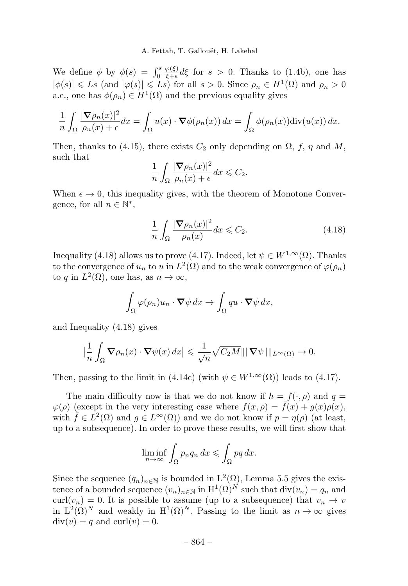We define  $\phi$  by  $\phi(s) = \int_0^s$  $\frac{\varphi(\xi)}{\xi+\epsilon}d\xi$  for  $s > 0$ . Thanks to (1.4b), one has  $|\phi(s)| \leqslant Ls$  (and  $|\varphi(s)| \leqslant Ls$ ) for all  $s > 0$ . Since  $\rho_n \in H^1(\Omega)$  and  $\rho_n > 0$ a.e., one has  $\phi(\rho_n) \in H^1(\Omega)$  and the previous equality gives

$$
\frac{1}{n}\int_{\Omega}\frac{|\boldsymbol{\nabla}\rho_n(x)|^2}{\rho_n(x)+\epsilon}dx=\int_{\Omega}u(x)\cdot\boldsymbol{\nabla}\phi(\rho_n(x))\,dx=\int_{\Omega}\phi(\rho_n(x))\mathrm{div}(u(x))\,dx.
$$

Then, thanks to (4.15), there exists  $C_2$  only depending on  $\Omega$ , f,  $\eta$  and M, such that

$$
\frac{1}{n}\int_{\Omega}\frac{|\boldsymbol{\nabla}\rho_n(x)|^2}{\rho_n(x)+\epsilon}dx\leqslant C_2.
$$

When  $\epsilon \to 0$ , this inequality gives, with the theorem of Monotone Convergence, for all  $n \in \mathbb{N}^*$ ,

$$
\frac{1}{n} \int_{\Omega} \frac{|\nabla \rho_n(x)|^2}{\rho_n(x)} dx \leqslant C_2.
$$
\n(4.18)

Inequality (4.18) allows us to prove (4.17). Indeed, let  $\psi \in W^{1,\infty}(\Omega)$ . Thanks to the convergence of  $u_n$  to u in  $L^2(\Omega)$  and to the weak convergence of  $\varphi(\rho_n)$ to q in  $L^2(\Omega)$ , one has, as  $n \to \infty$ ,

$$
\int_{\Omega} \varphi(\rho_n) u_n \cdot \nabla \psi \, dx \to \int_{\Omega} qu \cdot \nabla \psi \, dx,
$$

and Inequality (4.18) gives

$$
\left|\frac{1}{n}\int_{\Omega}\mathbf{\nabla}\rho_n(x)\cdot\mathbf{\nabla}\psi(x)\,dx\right|\leqslant\frac{1}{\sqrt{n}}\sqrt{C_2M}\||\mathbf{\nabla}\psi\,||_{L^{\infty}(\Omega)}\to 0.
$$

Then, passing to the limit in (4.14c) (with  $\psi \in W^{1,\infty}(\Omega)$ ) leads to (4.17).

The main difficulty now is that we do not know if  $h = f(\cdot, \rho)$  and  $q =$  $\varphi(\rho)$  (except in the very interesting case where  $f(x, \rho) = \bar{f}(x) + g(x)\rho(x)$ , with  $\bar{f} \in L^2(\Omega)$  and  $g \in L^{\infty}(\Omega)$  and we do not know if  $p = \eta(\rho)$  (at least, up to a subsequence).In order to prove these results, we will first show that

$$
\liminf_{n \to \infty} \int_{\Omega} p_n q_n \, dx \leqslant \int_{\Omega} pq \, dx.
$$

Since the sequence  $(q_n)_{n\in\mathbb{N}}$  is bounded in  $L^2(\Omega)$ , Lemma 5.5 gives the existence of a bounded sequence  $(v_n)_{n\in\mathbb{N}}$  in  $H^1(\Omega)^N$  such that  $\text{div}(v_n) = q_n$  and curl( $v_n$ ) = 0. It is possible to assume (up to a subsequence) that  $v_n \to v$ in  $L^2(\Omega)^N$  and weakly in  $H^1(\Omega)^N$ . Passing to the limit as  $n \to \infty$  gives  $\text{div}(v) = q$  and  $\text{curl}(v) = 0$ .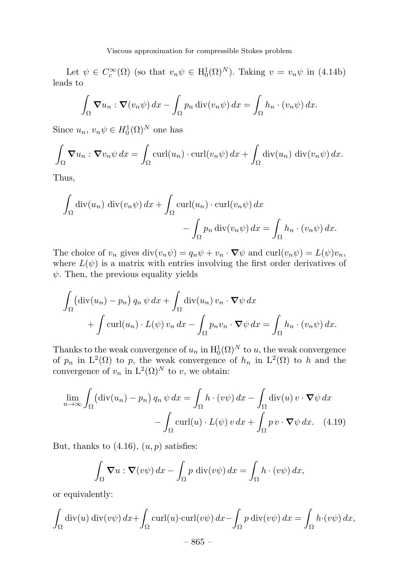Let  $\psi \in C_c^{\infty}(\Omega)$  (so that  $v_n \psi \in H_0^1(\Omega)^N$ ). Taking  $v = v_n \psi$  in (4.14b) leads to

$$
\int_{\Omega} \mathbf{\nabla} u_n : \mathbf{\nabla} (v_n \psi) \, dx - \int_{\Omega} p_n \operatorname{div} (v_n \psi) \, dx = \int_{\Omega} h_n \cdot (v_n \psi) \, dx.
$$

Since  $u_n, v_n \psi \in H_0^1(\Omega)^N$  one has

$$
\int_{\Omega} \mathbf{\nabla} u_n : \mathbf{\nabla} v_n \psi \, dx = \int_{\Omega} \operatorname{curl}(u_n) \cdot \operatorname{curl}(v_n \psi) \, dx + \int_{\Omega} \operatorname{div}(u_n) \, \operatorname{div}(v_n \psi) \, dx.
$$

Thus,

$$
\int_{\Omega} \operatorname{div}(u_n) \operatorname{div}(v_n \psi) dx + \int_{\Omega} \operatorname{curl}(u_n) \cdot \operatorname{curl}(v_n \psi) dx - \int_{\Omega} p_n \operatorname{div}(v_n \psi) dx = \int_{\Omega} h_n \cdot (v_n \psi) dx.
$$

The choice of  $v_n$  gives  $\text{div}(v_n\psi) = q_n\psi + v_n \cdot \nabla \psi$  and  $\text{curl}(v_n\psi) = L(\psi)v_n$ , where  $L(\psi)$  is a matrix with entries involving the first order derivatives of  $\psi$ . Then, the previous equality yields

$$
\int_{\Omega} (\text{div}(u_n) - p_n) q_n \psi \, dx + \int_{\Omega} \text{div}(u_n) v_n \cdot \nabla \psi \, dx \n+ \int \text{curl}(u_n) \cdot L(\psi) v_n \, dx - \int_{\Omega} p_n v_n \cdot \nabla \psi \, dx = \int_{\Omega} h_n \cdot (v_n \psi) \, dx.
$$

Thanks to the weak convergence of  $u_n$  in  $\mathrm{H}_0^1(\Omega)^N$  to u, the weak convergence of  $p_n$  in  $L^2(\Omega)$  to p, the weak convergence of  $h_n$  in  $L^2(\Omega)$  to h and the convergence of  $v_n$  in  $L^2(\Omega)^N$  to v, we obtain:

$$
\lim_{n \to \infty} \int_{\Omega} (\text{div}(u_n) - p_n) q_n \psi \, dx = \int_{\Omega} h \cdot (v\psi) \, dx - \int_{\Omega} \text{div}(u) \, v \cdot \nabla \psi \, dx - \int_{\Omega} \text{curl}(u) \cdot L(\psi) \, v \, dx + \int_{\Omega} p \, v \cdot \nabla \psi \, dx. \tag{4.19}
$$

But, thanks to  $(4.16)$ ,  $(u, p)$  satisfies:

$$
\int_{\Omega} \mathbf{\nabla} u : \mathbf{\nabla} (v\psi) \, dx - \int_{\Omega} p \, \text{div}(v\psi) \, dx = \int_{\Omega} h \cdot (v\psi) \, dx,
$$

or equivalently:

$$
\int_{\Omega} \operatorname{div}(u) \operatorname{div}(v\psi) \, dx + \int_{\Omega} \operatorname{curl}(u) \cdot \operatorname{curl}(v\psi) \, dx - \int_{\Omega} p \operatorname{div}(v\psi) \, dx = \int_{\Omega} h \cdot (v\psi) \, dx,
$$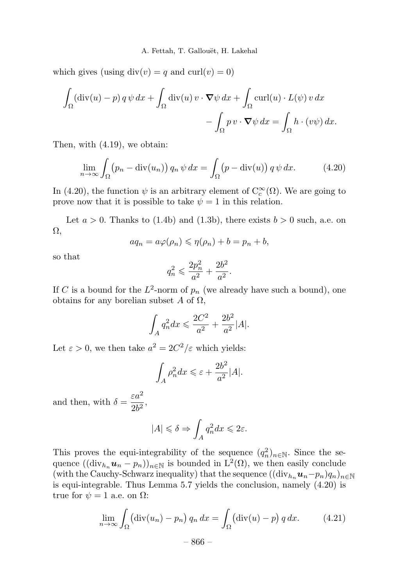which gives (using  $div(v) = q$  and  $curl(v) = 0$ )

$$
\int_{\Omega} (\text{div}(u) - p) q \psi dx + \int_{\Omega} \text{div}(u) v \cdot \nabla \psi dx + \int_{\Omega} \text{curl}(u) \cdot L(\psi) v dx - \int_{\Omega} p v \cdot \nabla \psi dx = \int_{\Omega} h \cdot (v\psi) dx.
$$

Then, with (4.19), we obtain:

$$
\lim_{n \to \infty} \int_{\Omega} \left( p_n - \text{div}(u_n) \right) q_n \, \psi \, dx = \int_{\Omega} \left( p - \text{div}(u) \right) q \, \psi \, dx. \tag{4.20}
$$

In (4.20), the function  $\psi$  is an arbitrary element of  $C_c^{\infty}(\Omega)$ . We are going to prove now that it is possible to take  $\psi = 1$  in this relation.

Let  $a > 0$ . Thanks to (1.4b) and (1.3b), there exists  $b > 0$  such, a.e. on Ω,

$$
aq_n = a\varphi(\rho_n) \leqslant \eta(\rho_n) + b = p_n + b,
$$

so that

$$
q_n^2 \leqslant \frac{2p_n^2}{a^2} + \frac{2b^2}{a^2}.
$$

If C is a bound for the  $L^2$ -norm of  $p_n$  (we already have such a bound), one obtains for any borelian subset A of  $\Omega$ ,

$$
\int_{A} q_n^2 dx \leqslant \frac{2C^2}{a^2} + \frac{2b^2}{a^2} |A|.
$$

Let  $\varepsilon > 0$ , we then take  $a^2 = 2C^2/\varepsilon$  which yields:

$$
\int_A \rho_n^2 dx \leqslant \varepsilon + \frac{2b^2}{a^2} |A|.
$$

and then, with  $\delta = \frac{\varepsilon a^2}{2b^2}$ ,

$$
|A| \leq \delta \Rightarrow \int_A q_n^2 dx \leq 2\varepsilon.
$$

This proves the equi-integrability of the sequence  $(q_n^2)_{n \in \mathbb{N}}$ . Since the sequence  $((\text{div}_{h_n}\mathbf{u}_n - p_n))_{n \in \mathbb{N}}$  is bounded in  $L^2(\Omega)$ , we then easily conclude (with the Cauchy-Schwarz inequality) that the sequence  $((\text{div}_{h_n} \mathbf{u}_n-p_n)q_n)_{n\in\mathbb{N}}$ is equi-integrable. Thus Lemma 5.7 yields the conclusion, namely (4.20) is true for  $\psi = 1$  a.e. on  $\Omega$ :

$$
\lim_{n \to \infty} \int_{\Omega} (\text{div}(u_n) - p_n) q_n dx = \int_{\Omega} (\text{div}(u) - p) q dx. \tag{4.21}
$$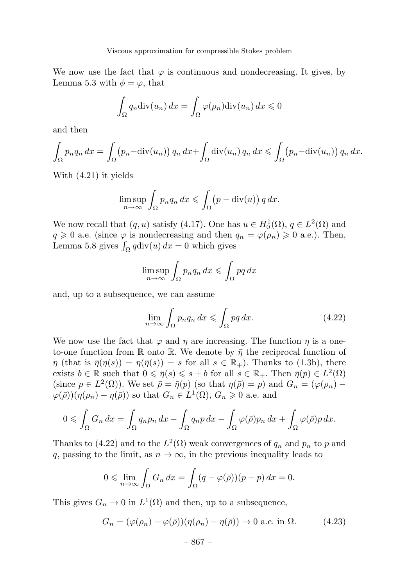We now use the fact that  $\varphi$  is continuous and nondecreasing. It gives, by Lemma 5.3 with  $\phi = \varphi$ , that

$$
\int_{\Omega} q_n \operatorname{div}(u_n) \, dx = \int_{\Omega} \varphi(\rho_n) \operatorname{div}(u_n) \, dx \leq 0
$$

and then

$$
\int_{\Omega} p_n q_n dx = \int_{\Omega} (p_n - \operatorname{div}(u_n)) q_n dx + \int_{\Omega} \operatorname{div}(u_n) q_n dx \le \int_{\Omega} (p_n - \operatorname{div}(u_n)) q_n dx.
$$

With (4.21) it yields

$$
\limsup_{n \to \infty} \int_{\Omega} p_n q_n \, dx \leqslant \int_{\Omega} \left( p - \text{div}(u) \right) q \, dx.
$$

We now recall that  $(q, u)$  satisfy (4.17). One has  $u \in H_0^1(\Omega)$ ,  $q \in L^2(\Omega)$  and  $q \geq 0$  a.e. (since  $\varphi$  is nondecreasing and then  $q_n = \varphi(\rho_n) \geq 0$  a.e.). Then, Lemma 5.8 gives  $\int_{\Omega} q \text{div}(u) dx = 0$  which gives

$$
\limsup_{n \to \infty} \int_{\Omega} p_n q_n \, dx \leqslant \int_{\Omega} pq \, dx
$$

and, up to a subsequence, we can assume

$$
\lim_{n \to \infty} \int_{\Omega} p_n q_n \, dx \le \int_{\Omega} p q \, dx. \tag{4.22}
$$

We now use the fact that  $\varphi$  and  $\eta$  are increasing. The function  $\eta$  is a oneto-one function from R onto R. We denote by  $\bar{\eta}$  the reciprocal function of  $\eta$  (that is  $\bar{\eta}(\eta(s)) = \eta(\bar{\eta}(s)) = s$  for all  $s \in \mathbb{R}_+$ ). Thanks to (1.3b), there exists  $b \in \mathbb{R}$  such that  $0 \leq \bar{\eta}(s) \leq s + b$  for all  $s \in \mathbb{R}_+$ . Then  $\bar{\eta}(p) \in L^2(\Omega)$ (since  $p \in L^2(\Omega)$ ). We set  $\bar{\rho} = \bar{\eta}(p)$  (so that  $\eta(\bar{\rho}) = p$ ) and  $G_n = (\varphi(\rho_n) - \varphi(\rho))$  $\varphi(\bar{\rho}))(\eta(\rho_n)-\eta(\bar{\rho}))$  so that  $G_n \in L^1(\Omega)$ ,  $G_n \geq 0$  a.e. and

$$
0 \leqslant \int_{\Omega} G_n \, dx = \int_{\Omega} q_n p_n \, dx - \int_{\Omega} q_n p \, dx - \int_{\Omega} \varphi(\bar{\rho}) p_n \, dx + \int_{\Omega} \varphi(\bar{\rho}) p \, dx.
$$

Thanks to (4.22) and to the  $L^2(\Omega)$  weak convergences of  $q_n$  and  $p_n$  to p and q, passing to the limit, as  $n \to \infty$ , in the previous inequality leads to

$$
0 \leqslant \lim_{n \to \infty} \int_{\Omega} G_n \, dx = \int_{\Omega} (q - \varphi(\bar{\rho})) (p - p) \, dx = 0.
$$

This gives  $G_n \to 0$  in  $L^1(\Omega)$  and then, up to a subsequence,

$$
G_n = (\varphi(\rho_n) - \varphi(\bar{\rho}))(\eta(\rho_n) - \eta(\bar{\rho})) \to 0 \text{ a.e. in } \Omega.
$$
 (4.23)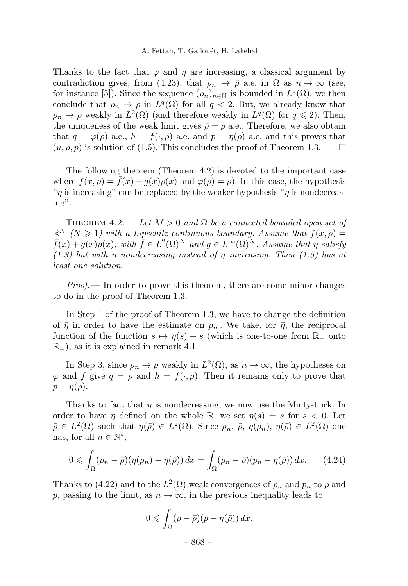#### A. Fettah, T. Gallouët, H. Lakehal

Thanks to the fact that  $\varphi$  and  $\eta$  are increasing, a classical argument by contradiction gives, from (4.23), that  $\rho_n \to \bar{\rho}$  a.e. in  $\Omega$  as  $n \to \infty$  (see, for instance [5]). Since the sequence  $(\rho_n)_{n\in\mathbb{N}}$  is bounded in  $L^2(\Omega)$ , we then conclude that  $\rho_n \to \bar{\rho}$  in  $L^q(\Omega)$  for all  $q < 2$ . But, we already know that  $\rho_n \to \rho$  weakly in  $L^2(\Omega)$  (and therefore weakly in  $L^q(\Omega)$  for  $q \leq 2$ ). Then, the uniqueness of the weak limit gives  $\bar{\rho} = \rho$  a.e.. Therefore, we also obtain that  $q = \varphi(\rho)$  a.e.,  $h = f(\cdot, \rho)$  a.e. and  $p = \eta(\rho)$  a.e. and this proves that  $(u, \rho, \rho)$  is solution of (1.5). This concludes the proof of Theorem 1.3.  $(u, \rho, p)$  is solution of (1.5). This concludes the proof of Theorem 1.3.

The following theorem (Theorem 4.2) is devoted to the important case where  $f(x, \rho) = \overline{f}(x) + g(x)\rho(x)$  and  $\varphi(\rho) = \rho$ . In this case, the hypothesis "*n* is increasing" can be replaced by the weaker hypothesis "*n* is nondecreasing".

THEOREM 4.2. — Let  $M > 0$  and  $\Omega$  be a connected bounded open set of  $\mathbb{R}^N$   $(N \geq 1)$  with a Lipschitz continuous boundary. Assume that  $f(x, \rho) =$  $\bar{f}(x) + g(x)\rho(x)$ , with  $\bar{f} \in L^2(\Omega)^N$  and  $g \in L^{\infty}(\Omega)^N$ . Assume that  $\eta$  satisfy  $(1.3)$  but with  $\eta$  nondecreasing instead of  $\eta$  increasing. Then (1.5) has at least one solution.

 $Proof.$  In order to prove this theorem, there are some minor changes to do in the proof of Theorem 1.3.

In Step 1 of the proof of Theorem 1.3, we have to change the definition of  $\bar{\eta}$  in order to have the estimate on  $p_m$ . We take, for  $\bar{\eta}$ , the reciprocal function of the function  $s \mapsto \eta(s) + s$  (which is one-to-one from  $\mathbb{R}_+$  onto  $\mathbb{R}_+$ , as it is explained in remark 4.1.

In Step 3, since  $\rho_n \to \rho$  weakly in  $L^2(\Omega)$ , as  $n \to \infty$ , the hypotheses on  $\varphi$  and f give  $q = \rho$  and  $h = f(\cdot, \rho)$ . Then it remains only to prove that  $p = \eta(\rho)$ .

Thanks to fact that  $\eta$  is nondecreasing, we now use the Minty-trick. In order to have *η* defined on the whole R, we set  $n(s) = s$  for  $s < 0$ . Let  $\bar{\rho} \in L^2(\Omega)$  such that  $\eta(\bar{\rho}) \in L^2(\Omega)$ . Since  $\rho_n$ ,  $\bar{\rho}$ ,  $\eta(\rho_n)$ ,  $\eta(\bar{\rho}) \in L^2(\Omega)$  one has, for all  $n \in \mathbb{N}^*$ ,

$$
0 \leqslant \int_{\Omega} (\rho_n - \bar{\rho}) (\eta(\rho_n) - \eta(\bar{\rho})) dx = \int_{\Omega} (\rho_n - \bar{\rho}) (p_n - \eta(\bar{\rho})) dx. \tag{4.24}
$$

Thanks to (4.22) and to the  $L^2(\Omega)$  weak convergences of  $\rho_n$  and  $p_n$  to  $\rho$  and p, passing to the limit, as  $n \to \infty$ , in the previous inequality leads to

$$
0 \leqslant \int_{\Omega} (\rho - \bar{\rho})(p - \eta(\bar{\rho})) dx.
$$

– 868 –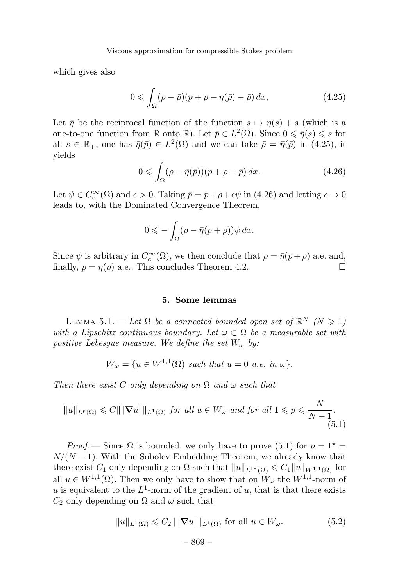which gives also

$$
0 \leqslant \int_{\Omega} (\rho - \bar{\rho})(p + \rho - \eta(\bar{\rho}) - \bar{\rho}) dx, \tag{4.25}
$$

Let  $\bar{\eta}$  be the reciprocal function of the function  $s \mapsto \eta(s) + s$  (which is a one-to-one function from  $\mathbb R$  onto  $\mathbb R$ ). Let  $\bar{p} \in L^2(\Omega)$ . Since  $0 \le \bar{\eta}(s) \le s$  for all  $s \in \mathbb{R}_+$ , one has  $\bar{\eta}(\bar{p}) \in L^2(\Omega)$  and we can take  $\bar{\rho} = \bar{\eta}(\bar{p})$  in (4.25), it yields

$$
0 \leqslant \int_{\Omega} (\rho - \bar{\eta}(\bar{p}))(p + \rho - \bar{p}) dx. \tag{4.26}
$$

Let  $\psi \in C_c^{\infty}(\Omega)$  and  $\epsilon > 0$ . Taking  $\bar{p} = p + \rho + \epsilon \psi$  in (4.26) and letting  $\epsilon \to 0$ leads to, with the Dominated Convergence Theorem,

$$
0\leqslant -\int_\Omega (\rho-\bar\eta(p+\rho))\psi\,dx.
$$

Since  $\psi$  is arbitrary in  $C_c^{\infty}(\Omega)$ , we then conclude that  $\rho = \bar{\eta}(p+\rho)$  a.e. and, finally,  $p = \eta(\rho)$  a.e.. This concludes Theorem 4.2.

#### 5. Some lemmas

LEMMA 5.1. — Let  $\Omega$  be a connected bounded open set of  $\mathbb{R}^N$  ( $N \geq 1$ ) with a Lipschitz continuous boundary. Let  $\omega \subset \Omega$  be a measurable set with positive Lebesgue measure. We define the set  $W_{\omega}$  by:

$$
W_{\omega} = \{ u \in W^{1,1}(\Omega) \text{ such that } u = 0 \text{ a.e. in } \omega \}.
$$

Then there exist C only depending on  $\Omega$  and  $\omega$  such that

$$
||u||_{L^{p}(\Omega)} \leq C|||\nabla u|||_{L^{1}(\Omega)} \text{ for all } u \in W_{\omega} \text{ and for all } 1 \leq p \leq \frac{N}{N-1}.
$$
\n
$$
(5.1)
$$

*Proof.* — Since  $\Omega$  is bounded, we only have to prove (5.1) for  $p = 1^*$  $N/(N-1)$ . With the Sobolev Embedding Theorem, we already know that there exist  $C_1$  only depending on  $\Omega$  such that  $||u||_{L^{1^{\star}}(\Omega)} \leqslant C_1 ||u||_{W^{1,1}(\Omega)}$  for all  $u \in W^{1,1}(\Omega)$ . Then we only have to show that on  $W_\omega$  the  $W^{1,1}$ -norm of u is equivalent to the  $L^1$ -norm of the gradient of u, that is that there exists  $C_2$  only depending on  $\Omega$  and  $\omega$  such that

$$
||u||_{L^{1}(\Omega)} \leqslant C_{2}|||\nabla u|||_{L^{1}(\Omega)} \text{ for all } u \in W_{\omega}.
$$
 (5.2)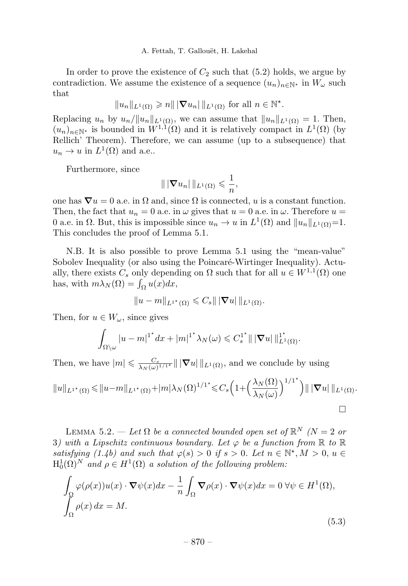In order to prove the existence of  $C_2$  such that (5.2) holds, we argue by contradiction. We assume the existence of a sequence  $(u_n)_{n\in\mathbb{N}^*}$  in  $W_\omega$  such that

 $||u_n||_{L^1(\Omega)} \geqslant n||\nabla u_n||_{L^1(\Omega)}$  for all  $n \in \mathbb{N}^*$ .

Replacing  $u_n$  by  $u_n/\|u_n\|_{L^1(\Omega)}$ , we can assume that  $||u_n||_{L^1(\Omega)} = 1$ . Then,  $(u_n)_{n\in\mathbb{N}^*}$  is bounded in  $W^{1,1}(\Omega)$  and it is relatively compact in  $L^1(\Omega)$  (by Rellich' Theorem). Therefore, we can assume (up to a subsequence) that  $u_n \to u$  in  $L^1(\Omega)$  and a.e..

Furthermore, since

$$
\| |\nabla u_n| \|_{L^1(\Omega)} \leqslant \frac{1}{n},
$$

one has  $\nabla u = 0$  a.e. in  $\Omega$  and, since  $\Omega$  is connected, u is a constant function. Then, the fact that  $u_n = 0$  a.e. in  $\omega$  gives that  $u = 0$  a.e. in  $\omega$ . Therefore  $u =$ 0 a.e. in  $\Omega$ . But, this is impossible since  $u_n \to u$  in  $L^1(\Omega)$  and  $||u_n||_{L^1(\Omega)}=1$ . This concludes the proof of Lemma 5.1.

N.B. It is also possible to prove Lemma 5.1 using the "mean-value" Sobolev Inequality (or also using the Poincaré-Wirtinger Inequality). Actually, there exists  $C_s$  only depending on  $\Omega$  such that for all  $u \in W^{1,1}(\Omega)$  one has, with  $m\lambda_N(\Omega) = \int_{\Omega} u(x) dx$ ,

$$
||u - m||_{L^{1^*}(\Omega)} \leqslant C_s || |\nabla u| ||_{L^1(\Omega)}.
$$

Then, for  $u \in W_\omega$ , since gives

$$
\int_{\Omega\setminus\omega}|u-m|^{1^*}dx+|m|^{1^*}\lambda_N(\omega)\leq C_s^{1^*}\|\left|\nabla u\right|\|_{L^1(\Omega)}^{1^*}.
$$

Then, we have  $|m| \leqslant \frac{C_s}{\lambda_N(\omega)^{1/1^*}} || \nabla u ||_{L^1(\Omega)}$ , and we conclude by using

$$
||u||_{L^{1^{\star}}(\Omega)} \leq ||u-m||_{L^{1^{\star}}(\Omega)} + |m|\lambda_N(\Omega)^{1/1^{\star}} \leq C_s \left(1 + \left(\frac{\lambda_N(\Omega)}{\lambda_N(\omega)}\right)^{1/1^{\star}}\right) || \nabla u|| ||_{L^1(\Omega)}.
$$

LEMMA 5.2. — Let  $\Omega$  be a connected bounded open set of  $\mathbb{R}^N$  (N = 2 or 3) with a Lipschitz continuous boundary. Let  $\varphi$  be a function from  $\mathbb R$  to  $\mathbb R$ satisfying (1.4b) and such that  $\varphi(s) > 0$  if  $s > 0$ . Let  $n \in \mathbb{N}^{\star}, M > 0, u \in$  $H_0^1(\Omega)^N$  and  $\rho \in H^1(\Omega)$  a solution of the following problem:

$$
\int_{\Omega} \varphi(\rho(x))u(x) \cdot \nabla \psi(x) dx - \frac{1}{n} \int_{\Omega} \nabla \rho(x) \cdot \nabla \psi(x) dx = 0 \,\forall \psi \in H^{1}(\Omega),
$$
\n
$$
\int_{\Omega} \rho(x) dx = M.
$$
\n(5.3)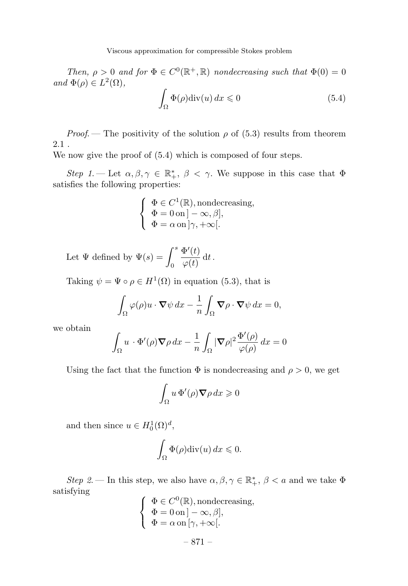Viscous approximation for compressible Stokes problem

Then,  $\rho > 0$  and for  $\Phi \in C^0(\mathbb{R}^+, \mathbb{R})$  nondecreasing such that  $\Phi(0) = 0$ and  $\Phi(\rho) \in L^2(\Omega)$ ,

$$
\int_{\Omega} \Phi(\rho) \text{div}(u) \, dx \leqslant 0 \tag{5.4}
$$

*Proof.* — The positivity of the solution  $\rho$  of (5.3) results from theorem 2.1 .

We now give the proof of (5.4) which is composed of four steps.

Step 1. — Let  $\alpha, \beta, \gamma \in \mathbb{R}^*, \ \beta < \gamma$ . We suppose in this case that  $\Phi$ satisfies the following properties:

$$
\left\{\begin{array}{l} \Phi\in C^1(\mathbb{R}),\text{nondecreasing},\\ \Phi=0\,\text{on}\,]-\infty,\beta],\\ \Phi=\alpha\,\text{on}\,]\gamma,+\infty[.\end{array}\right.
$$

Let  $\Psi$  defined by  $\Psi(s) = \int^s$ 0  $\frac{\Phi'(t)}{\varphi(t)} dt$ .

Taking  $\psi = \Psi \circ \rho \in H^1(\Omega)$  in equation (5.3), that is

$$
\int_{\Omega} \varphi(\rho) u \cdot \nabla \psi \, dx - \frac{1}{n} \int_{\Omega} \nabla \rho \cdot \nabla \psi \, dx = 0,
$$

we obtain

$$
\int_{\Omega} u \cdot \Phi'(\rho) \nabla \rho \, dx - \frac{1}{n} \int_{\Omega} |\nabla \rho|^2 \frac{\Phi'(\rho)}{\varphi(\rho)} \, dx = 0
$$

Using the fact that the function  $\Phi$  is nondecreasing and  $\rho > 0$ , we get

$$
\int_{\Omega} u \, \Phi'(\rho) \nabla \rho \, dx \geqslant 0
$$

and then since  $u \in H_0^1(\Omega)^d$ ,

$$
\int_{\Omega} \Phi(\rho) \mathrm{div}(u) \, dx \leqslant 0.
$$

Step 2. – In this step, we also have  $\alpha, \beta, \gamma \in \mathbb{R}^*_+, \beta < a$  and we take  $\Phi$ satisfying

$$
\begin{cases} \n\Phi \in C^{0}(\mathbb{R}), \text{nondecreasing}, \\ \n\Phi = 0 \text{ on } ] - \infty, \beta], \\ \n\Phi = \alpha \text{ on } [\gamma, +\infty[. \n\end{cases}
$$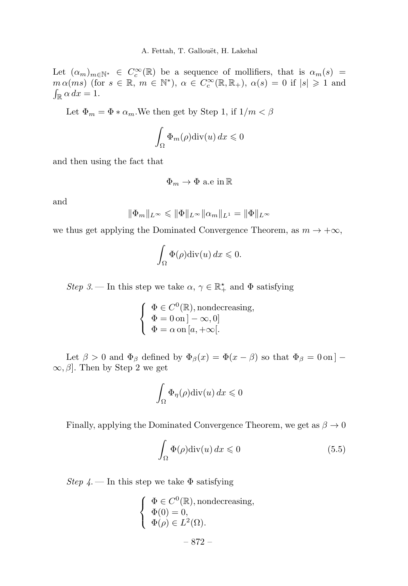Let  $(\alpha_m)_{m\in\mathbb{N}^*} \in C_c^{\infty}(\mathbb{R})$  be a sequence of mollifiers, that is  $\alpha_m(s)$  $m \alpha(ms)$  (for  $s \in \mathbb{R}$ ,  $m \in \mathbb{N}^*$ ),  $\alpha \in C_c^{\infty}(\mathbb{R}, \mathbb{R}_+)$ ,  $\alpha(s) = 0$  if  $|s| \geq 1$  and  $\int_{\mathbb{R}} \alpha \, dx = 1.$ 

Let  $\Phi_m = \Phi * \alpha_m$ . We then get by Step 1, if  $1/m < \beta$ 

$$
\int_{\Omega} \Phi_m(\rho) \mathrm{div}(u) \, dx \leqslant 0
$$

and then using the fact that

$$
\Phi_m \to \Phi \text{ a.e in } \mathbb{R}
$$

and

$$
\|\Phi_m\|_{L^{\infty}} \leq \|\Phi\|_{L^{\infty}} \|\alpha_m\|_{L^1} = \|\Phi\|_{L^{\infty}}
$$

we thus get applying the Dominated Convergence Theorem, as  $m \to +\infty$ ,

$$
\int_{\Omega} \Phi(\rho) \mathrm{div}(u) \, dx \leqslant 0.
$$

Step 3.— In this step we take  $\alpha, \gamma \in \mathbb{R}_+^{\star}$  and  $\Phi$  satisfying

$$
\left\{ \begin{array}{l} \Phi \in C^0(\mathbb{R}), \text{nondecreasing}, \\ \Phi = 0 \,\text{on} \, ] - \infty, 0 ] \\ \Phi = \alpha \,\text{on} \, [a, + \infty[ . \end{array} \right.
$$

Let  $\beta > 0$  and  $\Phi_{\beta}$  defined by  $\Phi_{\beta}(x) = \Phi(x - \beta)$  so that  $\Phi_{\beta} = 0$  on | –  $\infty, \beta$ . Then by Step 2 we get

$$
\int_{\Omega} \Phi_{\eta}(\rho) \mathrm{div}(u) \, dx \leqslant 0
$$

Finally, applying the Dominated Convergence Theorem, we get as  $\beta \to 0$ 

$$
\int_{\Omega} \Phi(\rho) \text{div}(u) \, dx \leqslant 0 \tag{5.5}
$$

Step  $4$ . — In this step we take  $\Phi$  satisfying

$$
\begin{cases}\n\Phi \in C^{0}(\mathbb{R}), \text{nondecreasing}, \\
\Phi(0) = 0, \\
\Phi(\rho) \in L^{2}(\Omega).\n\end{cases}
$$
\n
$$
- 872 -
$$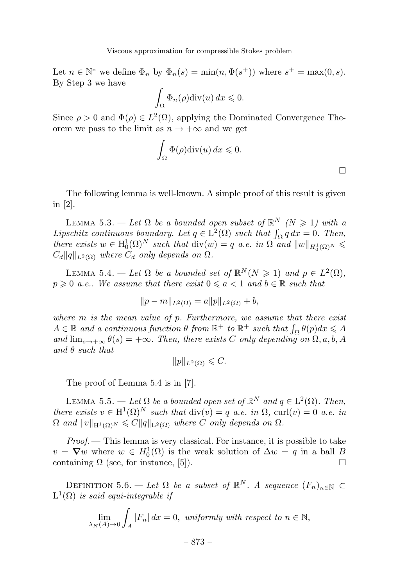Let  $n \in \mathbb{N}^*$  we define  $\Phi_n$  by  $\Phi_n(s) = \min(n, \Phi(s^+))$  where  $s^+ = \max(0, s)$ . By Step 3 we have

$$
\int_{\Omega} \Phi_n(\rho) \mathrm{div}(u) \, dx \leqslant 0.
$$

Since  $\rho > 0$  and  $\Phi(\rho) \in L^2(\Omega)$ , applying the Dominated Convergence Theorem we pass to the limit as  $n \to +\infty$  and we get

$$
\int_{\Omega} \Phi(\rho) \mathrm{div}(u) \, dx \leqslant 0.
$$

 $\Box$ 

The following lemma is well-known.A simple proof of this result is given in [2].

LEMMA 5.3. — Let  $\Omega$  be a bounded open subset of  $\mathbb{R}^N$  ( $N \geq 1$ ) with a Lipschitz continuous boundary. Let  $q \in L^2(\Omega)$  such that  $\int_{\Omega} q \, dx = 0$ . Then, there exists  $w \in H_0^1(\Omega)^N$  such that  $\text{div}(w) = q$  a.e. in  $\Omega$  and  $||w||_{H_0^1(\Omega)^N} \leq$  $C_d ||q||_{L^2(\Omega)}$  where  $C_d$  only depends on  $\Omega$ .

LEMMA 5.4. — Let  $\Omega$  be a bounded set of  $\mathbb{R}^N(N \geq 1)$  and  $p \in L^2(\Omega)$ ,  $p \geqslant 0$  a.e.. We assume that there exist  $0 \leqslant a < 1$  and  $b \in \mathbb{R}$  such that

$$
||p - m||_{L^2(\Omega)} = a||p||_{L^2(\Omega)} + b,
$$

where  $m$  is the mean value of  $p$ . Furthermore, we assume that there exist  $A \in \mathbb{R}$  and a continuous function  $\theta$  from  $\mathbb{R}^+$  to  $\mathbb{R}^+$  such that  $\int_{\Omega} \theta(p) dx \leqslant A$ and  $\lim_{s\to+\infty}\theta(s)=+\infty$ . Then, there exists C only depending on  $\Omega$ , a, b, A and  $\theta$  such that

$$
||p||_{L^2(\Omega)} \leqslant C.
$$

The proof of Lemma 5.4 is in [7].

LEMMA 5.5. — Let  $\Omega$  be a bounded open set of  $\mathbb{R}^N$  and  $q \in L^2(\Omega)$ . Then, there exists  $v \in H^1(\Omega)^N$  such that  $\text{div}(v) = q$  a.e. in  $\Omega$ ,  $\text{curl}(v) = 0$  a.e. in  $\Omega$  and  $||v||_{\mathrm{H}^1(\Omega)^N} \leqslant C||q||_{\mathrm{L}^2(\Omega)}$  where C only depends on  $\Omega$ .

 $Proof$  – This lemma is very classical. For instance, it is possible to take  $v = \nabla w$  where  $w \in H_0^1(\Omega)$  is the weak solution of  $\Delta w = q$  in a ball  $B$ containing  $\Omega$  (see, for instance, [5]).

DEFINITION 5.6. — Let  $\Omega$  be a subset of  $\mathbb{R}^N$ . A sequence  $(F_n)_{n\in\mathbb{N}}\subset$  $L^1(\Omega)$  is said equi-integrable if

$$
\lim_{\lambda_N(A)\to 0} \int_A |F_n| \, dx = 0, \text{ uniformly with respect to } n \in \mathbb{N},
$$

– 873 –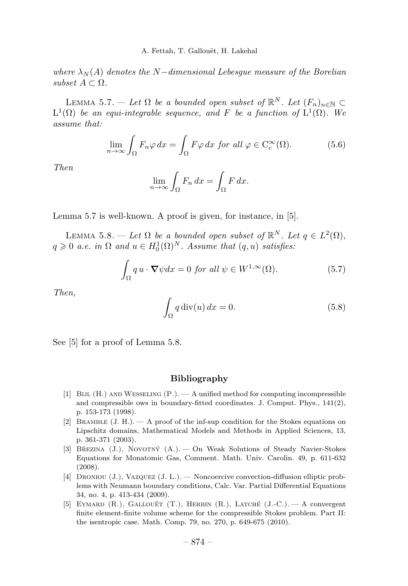where  $\lambda_N(A)$  denotes the N−dimensional Lebesgue measure of the Borelian subset  $A \subset \Omega$ .

LEMMA 5.7. — Let  $\Omega$  be a bounded open subset of  $\mathbb{R}^N$ . Let  $(F_n)_{n\in\mathbb{N}}\subset$  $L^1(\Omega)$  be an equi-integrable sequence, and F be a function of  $L^1(\Omega)$ . We assume that:

$$
\lim_{n \to \infty} \int_{\Omega} F_n \varphi \, dx = \int_{\Omega} F \varphi \, dx \text{ for all } \varphi \in C_c^{\infty}(\Omega). \tag{5.6}
$$

Then

$$
\lim_{n \to \infty} \int_{\Omega} F_n \, dx = \int_{\Omega} F \, dx.
$$

Lemma 5.7 is well-known. A proof is given, for instance, in [5].

LEMMA 5.8. — Let  $\Omega$  be a bounded open subset of  $\mathbb{R}^N$ . Let  $q \in L^2(\Omega)$ ,  $q \geqslant 0$  a.e. in  $\Omega$  and  $u \in H_0^1(\Omega)^N$ . Assume that  $(q, u)$  satisfies:

$$
\int_{\Omega} q u \cdot \nabla \psi dx = 0 \text{ for all } \psi \in W^{1,\infty}(\Omega). \tag{5.7}
$$

Then,

$$
\int_{\Omega} q \operatorname{div}(u) dx = 0. \tag{5.8}
$$

See [5] for a proof of Lemma 5.8.

#### Bibliography

- [1] Bijl (H.) and Wesseling (P.). —A unified method for computing incompressible and compressible ows in boundary-fitted coordinates. J. Comput. Phys.,  $141(2)$ , p. 153-173 (1998).
- [2] BRAMBLE  $(J. H.)$   $\longrightarrow$  A proof of the inf-sup condition for the Stokes equations on Lipschitz domains, Mathematical Models and Methods in Applied Sciences, 13, p. 361-371 (2003).
- [3] BŘEZINA (J.), NOVOTNÝ (A.). On Weak Solutions of Steady Navier-Stokes Equations for Monatomic Gas, Comment. Math. Univ. Carolin. 49, p. 611-632 (2008).
- [4] DRONIOU (J.), VAZQUEZ (J. L.). Noncoercive convection-diffusion elliptic problems with Neumann boundary conditions, Calc. Var. Partial Differential Equations 34, no. 4, p. 413-434 (2009).
- [5] EYMARD (R.), GALLOUET (T.), HERBIN (R.), LATCHÉ (J.-C.). A convergent finite element-finite volume scheme for the compressible Stokes problem. Part II: the isentropic case. Math. Comp. 79, no. 270, p. 649-675 (2010).